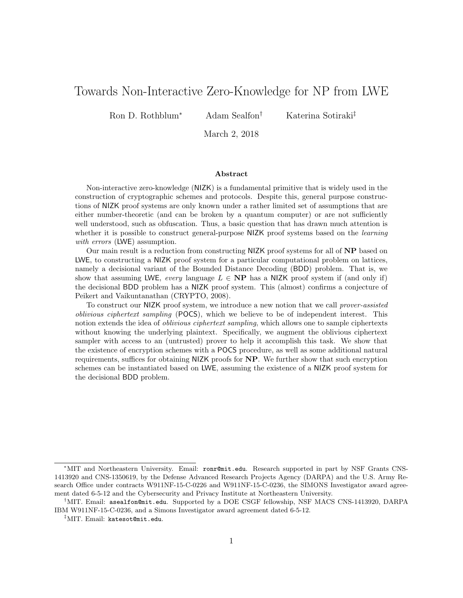# Towards Non-Interactive Zero-Knowledge for NP from LWE

Ron D. Rothblum<sup>∗</sup> Adam Sealfon† Katerina Sotiraki‡

March 2, 2018

#### Abstract

Non-interactive zero-knowledge (NIZK) is a fundamental primitive that is widely used in the construction of cryptographic schemes and protocols. Despite this, general purpose constructions of NIZK proof systems are only known under a rather limited set of assumptions that are either number-theoretic (and can be broken by a quantum computer) or are not sufficiently well understood, such as obfuscation. Thus, a basic question that has drawn much attention is whether it is possible to construct general-purpose NIZK proof systems based on the *learning* with errors (LWE) assumption.

Our main result is a reduction from constructing NIZK proof systems for all of NP based on LWE, to constructing a NIZK proof system for a particular computational problem on lattices, namely a decisional variant of the Bounded Distance Decoding (BDD) problem. That is, we show that assuming LWE, every language  $L \in \mathbf{NP}$  has a NIZK proof system if (and only if) the decisional BDD problem has a NIZK proof system. This (almost) confirms a conjecture of Peikert and Vaikuntanathan (CRYPTO, 2008).

To construct our NIZK proof system, we introduce a new notion that we call prover-assisted oblivious ciphertext sampling (POCS), which we believe to be of independent interest. This notion extends the idea of *oblivious ciphertext sampling*, which allows one to sample ciphertexts without knowing the underlying plaintext. Specifically, we augment the oblivious ciphertext sampler with access to an (untrusted) prover to help it accomplish this task. We show that the existence of encryption schemes with a POCS procedure, as well as some additional natural requirements, suffices for obtaining NIZK proofs for NP. We further show that such encryption schemes can be instantiated based on LWE, assuming the existence of a NIZK proof system for the decisional BDD problem.

<sup>∗</sup>MIT and Northeastern University. Email: ronr@mit.edu. Research supported in part by NSF Grants CNS-1413920 and CNS-1350619, by the Defense Advanced Research Projects Agency (DARPA) and the U.S. Army Research Office under contracts W911NF-15-C-0226 and W911NF-15-C-0236, the SIMONS Investigator award agreement dated 6-5-12 and the Cybersecurity and Privacy Institute at Northeastern University.

<sup>†</sup>MIT. Email: asealfon@mit.edu. Supported by a DOE CSGF fellowship, NSF MACS CNS-1413920, DARPA IBM W911NF-15-C-0236, and a Simons Investigator award agreement dated 6-5-12.

<sup>‡</sup>MIT. Email: katesot@mit.edu.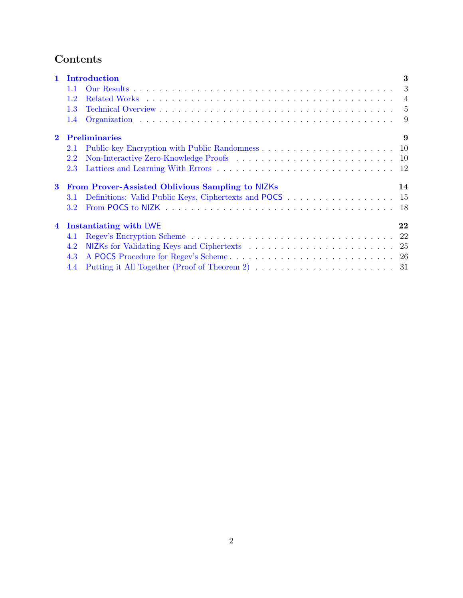# Contents

| 1 Introduction |                                                        |                                                         | 3 |  |  |
|----------------|--------------------------------------------------------|---------------------------------------------------------|---|--|--|
|                | 1.1                                                    |                                                         |   |  |  |
|                | 1.2                                                    |                                                         |   |  |  |
|                | 1.3                                                    |                                                         |   |  |  |
|                | 1.4                                                    |                                                         |   |  |  |
| $\mathbf{2}$   | <b>Preliminaries</b>                                   |                                                         | 9 |  |  |
|                | 2.1                                                    |                                                         |   |  |  |
|                | 2.2                                                    |                                                         |   |  |  |
|                | 2.3                                                    |                                                         |   |  |  |
| 3              | From Prover-Assisted Oblivious Sampling to NIZKs<br>14 |                                                         |   |  |  |
|                | 3.1                                                    | Definitions: Valid Public Keys, Ciphertexts and POCS 15 |   |  |  |
|                | 3.2 <sub>1</sub>                                       |                                                         |   |  |  |
| $\overline{4}$ | Instantiating with LWE<br>22                           |                                                         |   |  |  |
|                | 4.1                                                    |                                                         |   |  |  |
|                | 4.2                                                    |                                                         |   |  |  |
|                | 4.3                                                    |                                                         |   |  |  |
|                | 4.4                                                    |                                                         |   |  |  |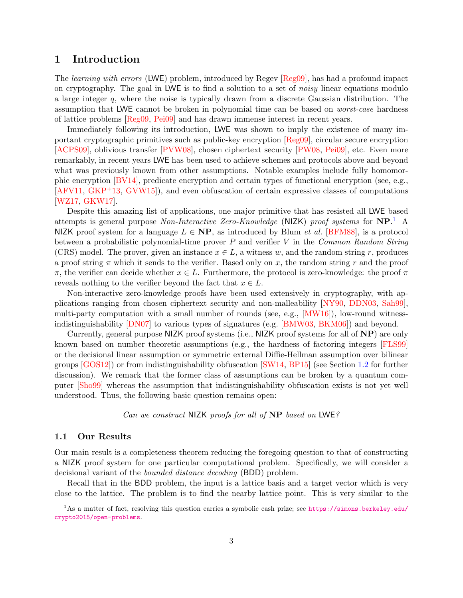# <span id="page-2-0"></span>1 Introduction

The *learning with errors* (LWE) problem, introduced by Regev [\[Reg09\]](#page-33-0), has had a profound impact on cryptography. The goal in LWE is to find a solution to a set of *noisy* linear equations modulo a large integer q, where the noise is typically drawn from a discrete Gaussian distribution. The assumption that LWE cannot be broken in polynomial time can be based on worst-case hardness of lattice problems [\[Reg09,](#page-33-0) [Pei09\]](#page-33-1) and has drawn immense interest in recent years.

Immediately following its introduction, LWE was shown to imply the existence of many important cryptographic primitives such as public-key encryption [\[Reg09\]](#page-33-0), circular secure encryption [\[ACPS09\]](#page-30-1), oblivious transfer [\[PVW08\]](#page-33-2), chosen ciphertext security [\[PW08,](#page-33-3) [Pei09\]](#page-33-1), etc. Even more remarkably, in recent years LWE has been used to achieve schemes and protocols above and beyond what was previously known from other assumptions. Notable examples include fully homomorphic encryption [\[BV14\]](#page-31-0), predicate encryption and certain types of functional encryption (see, e.g., [\[AFV11,](#page-30-2) [GKP](#page-32-0)+13, [GVW15\]](#page-32-1)), and even obfuscation of certain expressive classes of computations [\[WZ17,](#page-33-4) [GKW17\]](#page-32-2).

Despite this amazing list of applications, one major primitive that has resisted all LWE based attempts is general purpose Non-Interactive Zero-Knowledge (NIZK) proof systems for  $NP$ .<sup>[1](#page-2-2)</sup> A NIZK proof system for a language  $L \in \mathbf{NP}$ , as introduced by Blum *et al.* [\[BFM88\]](#page-31-1), is a protocol between a probabilistic polynomial-time prover  $P$  and verifier  $V$  in the Common Random String (CRS) model. The prover, given an instance  $x \in L$ , a witness w, and the random string r, produces a proof string  $\pi$  which it sends to the verifier. Based only on x, the random string r and the proof π, the verifier can decide whether  $x \in L$ . Furthermore, the protocol is zero-knowledge: the proof π reveals nothing to the verifier beyond the fact that  $x \in L$ .

Non-interactive zero-knowledge proofs have been used extensively in cryptography, with applications ranging from chosen ciphertext security and non-malleability [\[NY90,](#page-33-5) [DDN03,](#page-31-2) [Sah99\]](#page-33-6), multi-party computation with a small number of rounds (see, e.g., [\[MW16\]](#page-32-3)), low-round witnessindistinguishability [\[DN07\]](#page-31-3) to various types of signatures (e.g. [\[BMW03,](#page-31-4) [BKM06\]](#page-31-5)) and beyond.

Currently, general purpose NIZK proof systems (i.e., NIZK proof systems for all of NP) are only known based on number theoretic assumptions (e.g., the hardness of factoring integers [\[FLS99\]](#page-31-6) or the decisional linear assumption or symmetric external Diffie-Hellman assumption over bilinear groups [\[GOS12\]](#page-32-4)) or from indistinguishability obfuscation [\[SW14,](#page-33-7) [BP15\]](#page-31-7) (see Section [1.2](#page-3-0) for further discussion). We remark that the former class of assumptions can be broken by a quantum computer [\[Sho99\]](#page-33-8) whereas the assumption that indistinguishability obfuscation exists is not yet well understood. Thus, the following basic question remains open:

Can we construct NIZK proofs for all of NP based on LWE?

## <span id="page-2-1"></span>1.1 Our Results

Our main result is a completeness theorem reducing the foregoing question to that of constructing a NIZK proof system for one particular computational problem. Specifically, we will consider a decisional variant of the bounded distance decoding (BDD) problem.

Recall that in the BDD problem, the input is a lattice basis and a target vector which is very close to the lattice. The problem is to find the nearby lattice point. This is very similar to the

<span id="page-2-2"></span><sup>&</sup>lt;sup>1</sup>As a matter of fact, resolving this question carries a symbolic cash prize; see [https://simons.berkeley.edu/](https://simons.berkeley.edu/crypto2015/open-problems) [crypto2015/open-problems](https://simons.berkeley.edu/crypto2015/open-problems).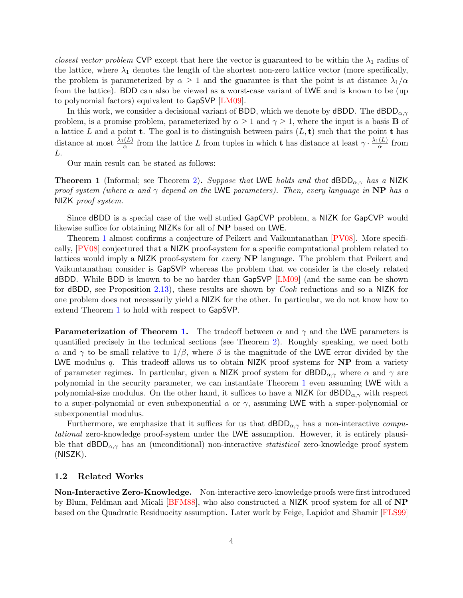closest vector problem CVP except that here the vector is guaranteed to be within the  $\lambda_1$  radius of the lattice, where  $\lambda_1$  denotes the length of the shortest non-zero lattice vector (more specifically, the problem is parameterized by  $\alpha \geq 1$  and the guarantee is that the point is at distance  $\lambda_1/\alpha$ from the lattice). BDD can also be viewed as a worst-case variant of LWE and is known to be (up to polynomial factors) equivalent to GapSVP [\[LM09\]](#page-32-5).

In this work, we consider a decisional variant of BDD, which we denote by dBDD. The dBDD $_{\alpha,\gamma}$ problem, is a promise problem, parameterized by  $\alpha \geq 1$  and  $\gamma \geq 1$ , where the input is a basis **B** of a lattice L and a point **t**. The goal is to distinguish between pairs  $(L, t)$  such that the point **t** has distance at most  $\frac{\lambda_1(L)}{\alpha}$  from the lattice L from tuples in which t has distance at least  $\gamma \cdot \frac{\lambda_1(L)}{\alpha}$  $\frac{(\mu)}{\alpha}$  from L.

Our main result can be stated as follows:

<span id="page-3-1"></span>**Theorem 1** (Informal; see Theorem [2\)](#page-21-2). Suppose that LWE holds and that  $dBDD_{\alpha,\gamma}$  has a NIZK proof system (where  $\alpha$  and  $\gamma$  depend on the LWE parameters). Then, every language in NP has a NIZK proof system.

Since dBDD is a special case of the well studied GapCVP problem, a NIZK for GapCVP would likewise suffice for obtaining NIZKs for all of NP based on LWE.

Theorem [1](#page-3-1) almost confirms a conjecture of Peikert and Vaikuntanathan [\[PV08\]](#page-33-9). More specifically, [\[PV08\]](#page-33-9) conjectured that a NIZK proof-system for a specific computational problem related to lattices would imply a NIZK proof-system for every NP language. The problem that Peikert and Vaikuntanathan consider is GapSVP whereas the problem that we consider is the closely related dBDD. While BDD is known to be no harder than GapSVP [\[LM09\]](#page-32-5) (and the same can be shown for dBDD, see Proposition [2.13\)](#page-12-0), these results are shown by Cook reductions and so a NIZK for one problem does not necessarily yield a NIZK for the other. In particular, we do not know how to extend Theorem [1](#page-3-1) to hold with respect to GapSVP.

**Parameterization of Theorem [1.](#page-3-1)** The tradeoff between  $\alpha$  and  $\gamma$  and the LWE parameters is quantified precisely in the technical sections (see Theorem [2\)](#page-21-2). Roughly speaking, we need both α and γ to be small relative to  $1/\beta$ , where  $\beta$  is the magnitude of the LWE error divided by the LWE modulus  $q$ . This tradeoff allows us to obtain NIZK proof systems for  $\bf NP$  from a variety of parameter regimes. In particular, given a NIZK proof system for  $\text{dBDD}_{\alpha,\gamma}$  where  $\alpha$  and  $\gamma$  are polynomial in the security parameter, we can instantiate Theorem [1](#page-3-1) even assuming LWE with a polynomial-size modulus. On the other hand, it suffices to have a NIZK for  $\text{dBDD}_{\alpha,\gamma}$  with respect to a super-polynomial or even subexponential  $\alpha$  or  $\gamma$ , assuming LWE with a super-polynomial or subexponential modulus.

Furthermore, we emphasize that it suffices for us that  $\text{dBDD}_{\alpha,\gamma}$  has a non-interactive computational zero-knowledge proof-system under the LWE assumption. However, it is entirely plausible that  $\text{dBDD}_{\alpha,\gamma}$  has an (unconditional) non-interactive *statistical* zero-knowledge proof system (NISZK).

#### <span id="page-3-0"></span>1.2 Related Works

Non-Interactive Zero-Knowledge. Non-interactive zero-knowledge proofs were first introduced by Blum, Feldman and Micali [\[BFM88\]](#page-31-1), who also constructed a NIZK proof system for all of NP based on the Quadratic Residuocity assumption. Later work by Feige, Lapidot and Shamir [\[FLS99\]](#page-31-6)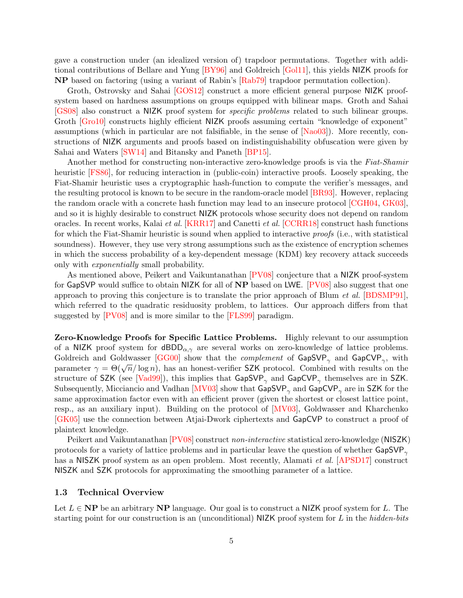gave a construction under (an idealized version of) trapdoor permutations. Together with additional contributions of Bellare and Yung [\[BY96\]](#page-31-8) and Goldreich [\[Gol11\]](#page-32-6), this yields NIZK proofs for NP based on factoring (using a variant of Rabin's [\[Rab79\]](#page-33-10) trapdoor permutation collection).

Groth, Ostrovsky and Sahai [\[GOS12\]](#page-32-4) construct a more efficient general purpose NIZK proofsystem based on hardness assumptions on groups equipped with bilinear maps. Groth and Sahai [\[GS08\]](#page-32-7) also construct a NIZK proof system for specific problems related to such bilinear groups. Groth [\[Gro10\]](#page-32-8) constructs highly efficient NIZK proofs assuming certain "knowledge of exponent" assumptions (which in particular are not falsifiable, in the sense of [\[Nao03\]](#page-33-11)). More recently, constructions of NIZK arguments and proofs based on indistinguishability obfuscation were given by Sahai and Waters [\[SW14\]](#page-33-7) and Bitansky and Paneth [\[BP15\]](#page-31-7).

Another method for constructing non-interactive zero-knowledge proofs is via the Fiat-Shamir heuristic [\[FS86\]](#page-31-9), for reducing interaction in (public-coin) interactive proofs. Loosely speaking, the Fiat-Shamir heuristic uses a cryptographic hash-function to compute the verifier's messages, and the resulting protocol is known to be secure in the random-oracle model [\[BR93\]](#page-31-10). However, replacing the random oracle with a concrete hash function may lead to an insecure protocol [\[CGH04,](#page-31-11) [GK03\]](#page-31-12), and so it is highly desirable to construct NIZK protocols whose security does not depend on random oracles. In recent works, Kalai et al. [\[KRR17\]](#page-32-9) and Canetti et al. [\[CCRR18\]](#page-31-13) construct hash functions for which the Fiat-Shamir heuristic is sound when applied to interactive proofs (i.e., with statistical soundness). However, they use very strong assumptions such as the existence of encryption schemes in which the success probability of a key-dependent message (KDM) key recovery attack succeeds only with exponentially small probability.

As mentioned above, Peikert and Vaikuntanathan [\[PV08\]](#page-33-9) conjecture that a NIZK proof-system for GapSVP would suffice to obtain NIZK for all of NP based on LWE. [\[PV08\]](#page-33-9) also suggest that one approach to proving this conjecture is to translate the prior approach of Blum et al. [\[BDSMP91\]](#page-30-3), which referred to the quadratic residuosity problem, to lattices. Our approach differs from that suggested by [\[PV08\]](#page-33-9) and is more similar to the [\[FLS99\]](#page-31-6) paradigm.

Zero-Knowledge Proofs for Specific Lattice Problems. Highly relevant to our assumption of a NIZK proof system for  $dBDD_{\alpha,\gamma}$  are several works on zero-knowledge of lattice problems. Goldreich and Goldwasser [\[GG00\]](#page-31-14) show that the *complement* of  $\textsf{GapSVP}_{\gamma}$  and  $\textsf{GapCVP}_{\gamma}$ , with bolder and Goldwasser [GGOO] show that the *complement* of GapSvr  $_{\gamma}$  and GapCvr  $_{\gamma}$ , with parameter  $\gamma = \Theta(\sqrt{n}/\log n)$ , has an honest-verifier SZK protocol. Combined with results on the structure of SZK (see [\[Vad99\]](#page-33-12)), this implies that  $\mathsf{GapSVP}_{\gamma}$  and  $\mathsf{GapCVP}_{\gamma}$  themselves are in SZK. Subsequently, Micciancio and Vadhan [\[MV03\]](#page-32-10) show that  $\textsf{GapSVP}_{\gamma}$  and  $\textsf{GapCVP}_{\gamma}$  are in SZK for the same approximation factor even with an efficient prover (given the shortest or closest lattice point, resp., as an auxiliary input). Building on the protocol of [\[MV03\]](#page-32-10), Goldwasser and Kharchenko [\[GK05\]](#page-32-11) use the connection between Atjai-Dwork ciphertexts and GapCVP to construct a proof of plaintext knowledge.

Peikert and Vaikuntanathan [\[PV08\]](#page-33-9) construct non-interactive statistical zero-knowledge (NISZK) protocols for a variety of lattice problems and in particular leave the question of whether  $\mathsf{GapSVP}_{\alpha}$ has a NISZK proof system as an open problem. Most recently, Alamati *et al.* [\[APSD17\]](#page-30-4) construct NISZK and SZK protocols for approximating the smoothing parameter of a lattice.

#### <span id="page-4-0"></span>1.3 Technical Overview

Let  $L \in \mathbf{NP}$  be an arbitrary  $\mathbf{NP}$  language. Our goal is to construct a NIZK proof system for L. The starting point for our construction is an (unconditional)  $NIZK$  proof system for L in the hidden-bits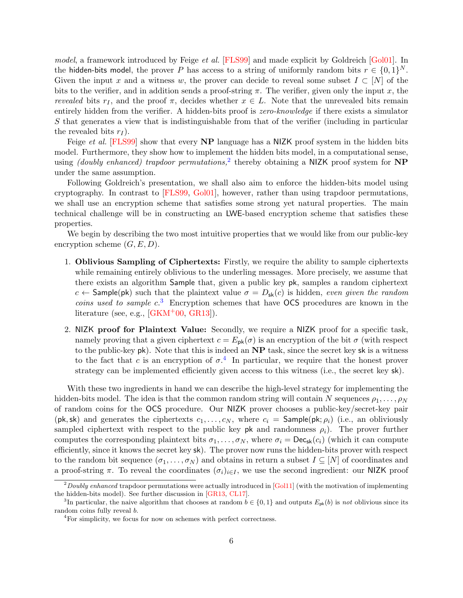model, a framework introduced by Feige et al. [\[FLS99\]](#page-31-6) and made explicit by Goldreich [\[Gol01\]](#page-32-12). In the hidden-bits model, the prover P has access to a string of uniformly random bits  $r \in \{0,1\}^N$ . Given the input x and a witness w, the prover can decide to reveal some subset  $I \subset [N]$  of the bits to the verifier, and in addition sends a proof-string  $\pi$ . The verifier, given only the input x, the revealed bits  $r_I$ , and the proof  $\pi$ , decides whether  $x \in L$ . Note that the unrevealed bits remain entirely hidden from the verifier. A hidden-bits proof is *zero-knowledge* if there exists a simulator S that generates a view that is indistinguishable from that of the verifier (including in particular the revealed bits  $r_I$ ).

Feige *et al.* [\[FLS99\]](#page-31-6) show that every **NP** language has a NIZK proof system in the hidden bits model. Furthermore, they show how to implement the hidden bits model, in a computational sense, using *(doubly enhanced)* trapdoor permutations,<sup>[2](#page-5-0)</sup> thereby obtaining a NIZK proof system for NP under the same assumption.

Following Goldreich's presentation, we shall also aim to enforce the hidden-bits model using cryptography. In contrast to [\[FLS99,](#page-31-6) [Gol01\]](#page-32-12), however, rather than using trapdoor permutations, we shall use an encryption scheme that satisfies some strong yet natural properties. The main technical challenge will be in constructing an LWE-based encryption scheme that satisfies these properties.

We begin by describing the two most intuitive properties that we would like from our public-key encryption scheme  $(G, E, D)$ .

- 1. Oblivious Sampling of Ciphertexts: Firstly, we require the ability to sample ciphertexts while remaining entirely oblivious to the underling messages. More precisely, we assume that there exists an algorithm Sample that, given a public key pk, samples a random ciphertext c ← Sample(pk) such that the plaintext value  $\sigma = D_{sk}(c)$  is hidden, even given the random coins used to sample  $c^3$  $c^3$ . Encryption schemes that have OCS procedures are known in the literature (see, e.g.,  $[GKM^+00, GR13]$  $[GKM^+00, GR13]$  $[GKM^+00, GR13]$ ).
- 2. NIZK proof for Plaintext Value: Secondly, we require a NIZK proof for a specific task, namely proving that a given ciphertext  $c = E_{\rm pk}(\sigma)$  is an encryption of the bit  $\sigma$  (with respect to the public-key  $pk$ ). Note that this is indeed an  $NP$  task, since the secret key sk is a witness to the fact that c is an encryption of  $\sigma$ <sup>[4](#page-5-2)</sup>. In particular, we require that the honest prover strategy can be implemented efficiently given access to this witness (i.e., the secret key sk).

With these two ingredients in hand we can describe the high-level strategy for implementing the hidden-bits model. The idea is that the common random string will contain N sequences  $\rho_1, \ldots, \rho_N$ of random coins for the OCS procedure. Our NIZK prover chooses a public-key/secret-key pair (pk, sk) and generates the ciphertexts  $c_1, \ldots, c_N$ , where  $c_i =$  Sample(pk;  $\rho_i$ ) (i.e., an obliviously sampled ciphertext with respect to the public key pk and randomness  $\rho_i$ ). The prover further computes the corresponding plaintext bits  $\sigma_1, \ldots, \sigma_N$ , where  $\sigma_i = \text{Dec}_{\text{sk}}(c_i)$  (which it can compute efficiently, since it knows the secret key sk). The prover now runs the hidden-bits prover with respect to the random bit sequence  $(\sigma_1, \ldots, \sigma_N)$  and obtains in return a subset  $I \subseteq [N]$  of coordinates and a proof-string  $\pi$ . To reveal the coordinates  $(\sigma_i)_{i\in I}$ , we use the second ingredient: our NIZK proof

<span id="page-5-0"></span> $2Doubly enhanced$  trapdoor permutations were actually introduced in [\[Gol11\]](#page-32-6) (with the motivation of implementing the hidden-bits model). See further discussion in [\[GR13,](#page-32-14) [CL17\]](#page-31-15).

<span id="page-5-1"></span><sup>&</sup>lt;sup>3</sup>In particular, the naive algorithm that chooses at random  $b \in \{0,1\}$  and outputs  $E_{\mathsf{pk}}(b)$  is not oblivious since its random coins fully reveal b.

<span id="page-5-2"></span><sup>4</sup>For simplicity, we focus for now on schemes with perfect correctness.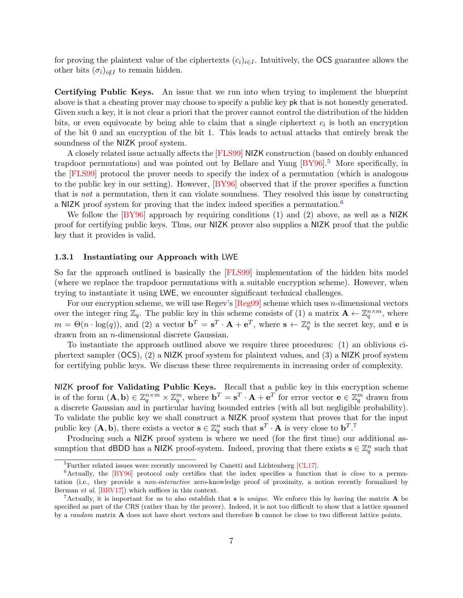for proving the plaintext value of the ciphertexts  $(c_i)_{i\in I}$ . Intuitively, the OCS guarantee allows the other bits  $(\sigma_i)_{i \notin I}$  to remain hidden.

Certifying Public Keys. An issue that we run into when trying to implement the blueprint above is that a cheating prover may choose to specify a public key pk that is not honestly generated. Given such a key, it is not clear a priori that the prover cannot control the distribution of the hidden bits, or even equivocate by being able to claim that a single ciphertext  $c_i$  is both an encryption of the bit 0 and an encryption of the bit 1. This leads to actual attacks that entirely break the soundness of the NIZK proof system.

A closely related issue actually affects the [\[FLS99\]](#page-31-6) NIZK construction (based on doubly enhanced trapdoor permutations) and was pointed out by Bellare and Yung  $[BY96]$ <sup>[5](#page-6-0)</sup> More specifically, in the [\[FLS99\]](#page-31-6) protocol the prover needs to specify the index of a permutation (which is analogous to the public key in our setting). However, [\[BY96\]](#page-31-8) observed that if the prover specifies a function that is not a permutation, then it can violate soundness. They resolved this issue by constructing a NIZK proof system for proving that the index indeed specifies a permutation.<sup>[6](#page-6-1)</sup>

We follow the  $[BY96]$  approach by requiring conditions (1) and (2) above, as well as a NIZK proof for certifying public keys. Thus, our NIZK prover also supplies a NIZK proof that the public key that it provides is valid.

#### 1.3.1 Instantiating our Approach with LWE

So far the approach outlined is basically the [\[FLS99\]](#page-31-6) implementation of the hidden bits model (where we replace the trapdoor permutations with a suitable encryption scheme). However, when trying to instantiate it using LWE, we encounter significant technical challenges.

For our encryption scheme, we will use Regev's  $[Reg09]$  scheme which uses *n*-dimensional vectors over the integer ring  $\mathbb{Z}_q$ . The public key in this scheme consists of (1) a matrix  $\mathbf{A} \leftarrow \mathbb{Z}_q^{n \times m}$ , where  $m = \Theta(n \cdot \log(q))$ , and (2) a vector  $\mathbf{b}^T = \mathbf{s}^T \cdot \mathbf{A} + \mathbf{e}^T$ , where  $\mathbf{s} \leftarrow \mathbb{Z}_q^n$  is the secret key, and **e** is drawn from an n-dimensional discrete Gaussian.

To instantiate the approach outlined above we require three procedures: (1) an oblivious ciphertext sampler (OCS), (2) a NIZK proof system for plaintext values, and (3) a NIZK proof system for certifying public keys. We discuss these three requirements in increasing order of complexity.

NIZK proof for Validating Public Keys. Recall that a public key in this encryption scheme is of the form  $(A, b) \in \mathbb{Z}_q^{n \times m} \times \mathbb{Z}_q^m$ , where  $b^T = s^T \cdot A + e^T$  for error vector  $e \in \mathbb{Z}_q^m$  drawn from a discrete Gaussian and in particular having bounded entries (with all but negligible probability). To validate the public key we shall construct a NIZK proof system that proves that for the input public key  $(A, b)$ , there exists a vector  $s \in \mathbb{Z}_q^n$  such that  $s^T \cdot A$  is very close to  $b^T$ .<sup>[7](#page-6-2)</sup>

Producing such a NIZK proof system is where we need (for the first time) our additional assumption that dBDD has a NIZK proof-system. Indeed, proving that there exists  $\mathbf{s} \in \mathbb{Z}_q^n$  such that

<span id="page-6-1"></span><span id="page-6-0"></span><sup>&</sup>lt;sup>5</sup>Further related issues were recently uncovered by Canetti and Lichtenberg [\[CL17\]](#page-31-15).

 $6$ Actually, the  $[BY96]$  protocol only certifies that the index specifies a function that is *close* to a permutation (i.e., they provide a *non-interactive* zero-knowledge proof of proximity, a notion recently formalized by Berman et al. [\[BRV17\]](#page-31-16)) which suffices in this context.

<span id="page-6-2"></span><sup>&</sup>lt;sup>7</sup>Actually, it is important for us to also establish that **s** is *unique*. We enforce this by having the matrix  $\bf{A}$  be specified as part of the CRS (rather than by the prover). Indeed, it is not too difficult to show that a lattice spanned by a random matrix A does not have short vectors and therefore b cannot be close to two different lattice points.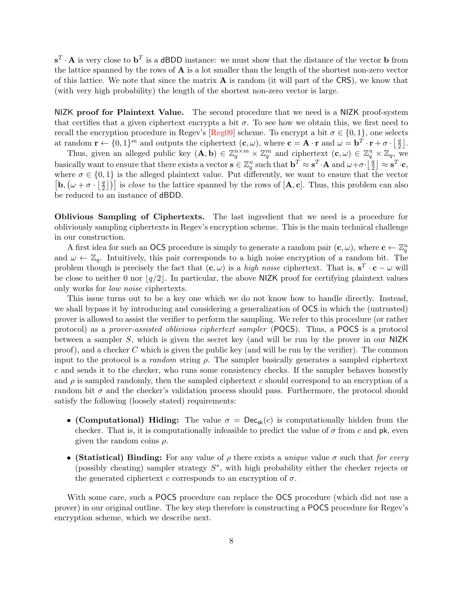$\mathbf{s}^T \cdot \mathbf{A}$  is very close to  $\mathbf{b}^T$  is a dBDD instance: we must show that the distance of the vector **b** from the lattice spanned by the rows of  $A$  is a lot smaller than the length of the shortest non-zero vector of this lattice. We note that since the matrix  $\bf{A}$  is random (it will part of the CRS), we know that (with very high probability) the length of the shortest non-zero vector is large.

NIZK proof for Plaintext Value. The second procedure that we need is a NIZK proof-system that certifies that a given ciphertext encrypts a bit  $\sigma$ . To see how we obtain this, we first need to recall the encryption procedure in Regev's [\[Reg09\]](#page-33-0) scheme. To encrypt a bit  $\sigma \in \{0, 1\}$ , one selects at random  $\mathbf{r} \leftarrow \{0,1\}^m$  and outputs the ciphertext  $(\mathbf{c}, \omega)$ , where  $\mathbf{c} = \mathbf{A} \cdot \mathbf{r}$  and  $\omega = \mathbf{b}^T \cdot \mathbf{r} + \sigma \cdot |\frac{q}{2}|$ .

Thus, given an alleged public key  $(A, b) \in \mathbb{Z}_q^{n \times m} \times \mathbb{Z}_q^m$  and ciphertext  $(c, \omega) \in \mathbb{Z}_q^n \times \mathbb{Z}_q$ , we basically want to ensure that there exists a vector  $\mathbf{s} \in \mathbb{Z}_q^n$  such that  $\mathbf{b}^T \approx \mathbf{s}^T \cdot \mathbf{A}$  and  $\omega + \sigma \cdot \left[\frac{q}{2}\right]$  $\left. \frac{q}{2} \right] \approx \mathbf{s}^T \!\cdot\! \mathbf{c},$ where  $\sigma \in \{0,1\}$  is the alleged plaintext value. Put differently, we want to ensure that the vector  $\left[\mathbf{b}, \left(\omega + \sigma \cdot \right) \right]$  $\left[\frac{q}{2}\right]$ ) is *close* to the lattice spanned by the rows of  $[\mathbf{A}, \mathbf{c}]$ . Thus, this problem can also be reduced to an instance of dBDD.

Oblivious Sampling of Ciphertexts. The last ingredient that we need is a procedure for obliviously sampling ciphertexts in Regev's encryption scheme. This is the main technical challenge in our construction.

A first idea for such an OCS procedure is simply to generate a random pair  $(c, \omega)$ , where  $c \leftarrow \mathbb{Z}_q^n$ and  $\omega \leftarrow \mathbb{Z}_q$ . Intuitively, this pair corresponds to a high noise encryption of a random bit. The problem though is precisely the fact that  $(c, \omega)$  is a *high noise* ciphertext. That is,  $s^T \cdot c - \omega$  will be close to neither 0 nor  $|q/2|$ . In particular, the above NIZK proof for certifying plaintext values only works for low noise ciphertexts.

This issue turns out to be a key one which we do not know how to handle directly. Instead, we shall bypass it by introducing and considering a generalization of OCS in which the (untrusted) prover is allowed to assist the verifier to perform the sampling. We refer to this procedure (or rather protocol) as a prover-assisted oblivious ciphertext sampler (POCS). Thus, a POCS is a protocol between a sampler S, which is given the secret key (and will be run by the prover in our NIZK proof), and a checker C which is given the public key (and will be run by the verifier). The common input to the protocol is a *random* string  $\rho$ . The sampler basically generates a sampled ciphertext c and sends it to the checker, who runs some consistency checks. If the sampler behaves honestly and  $\rho$  is sampled randomly, then the sampled ciphertext c should correspond to an encryption of a random bit  $\sigma$  and the checker's validation process should pass. Furthermore, the protocol should satisfy the following (loosely stated) requirements:

- (Computational) Hiding: The value  $\sigma = \text{Dec}_{sk}(c)$  is computationally hidden from the checker. That is, it is computationally infeasible to predict the value of  $\sigma$  from c and pk, even given the random coins  $\rho$ .
- (Statistical) Binding: For any value of  $\rho$  there exists a unique value  $\sigma$  such that for every (possibly cheating) sampler strategy  $S^*$ , with high probability either the checker rejects or the generated ciphertext c corresponds to an encryption of  $\sigma$ .

With some care, such a POCS procedure can replace the OCS procedure (which did not use a prover) in our original outline. The key step therefore is constructing a POCS procedure for Regev's encryption scheme, which we describe next.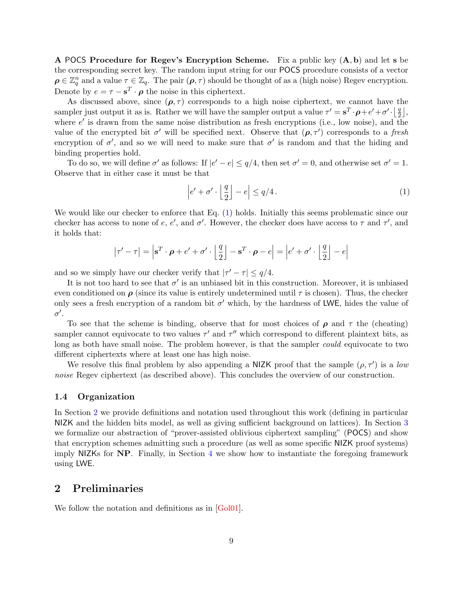A POCS Procedure for Regev's Encryption Scheme. Fix a public key  $(A, b)$  and let s be the corresponding secret key. The random input string for our POCS procedure consists of a vector  $\rho \in \mathbb{Z}_q^n$  and a value  $\tau \in \mathbb{Z}_q$ . The pair  $(\rho, \tau)$  should be thought of as a (high noise) Regev encryption. Denote by  $e = \tau - \mathbf{s}^T \cdot \boldsymbol{\rho}$  the noise in this ciphertext.

As discussed above, since  $(\rho, \tau)$  corresponds to a high noise ciphertext, we cannot have the sampler just output it as is. Rather we will have the sampler output a value  $\tau' = s^T \cdot \rho + e' + \sigma' \cdot \frac{1}{2}$  $\frac{q}{2}$ , where  $e'$  is drawn from the same noise distribution as fresh encryptions (i.e., low noise), and the value of the encrypted bit  $\sigma'$  will be specified next. Observe that  $(\rho, \tau')$  corresponds to a fresh encryption of  $\sigma'$ , and so we will need to make sure that  $\sigma'$  is random and that the hiding and binding properties hold.

To do so, we will define  $\sigma'$  as follows: If  $|e'-e| \leq q/4$ , then set  $\sigma' = 0$ , and otherwise set  $\sigma' = 1$ . Observe that in either case it must be that

<span id="page-8-2"></span>
$$
\left|e' + \sigma' \cdot \left\lfloor \frac{q}{2} \right\rfloor - e\right| \le q/4. \tag{1}
$$

We would like our checker to enforce that Eq. [\(1\)](#page-8-2) holds. Initially this seems problematic since our checker has access to none of e, e', and  $\sigma'$ . However, the checker does have access to  $\tau$  and  $\tau'$ , and it holds that:

$$
|\tau' - \tau| = \left| \mathbf{s}^T \cdot \boldsymbol{\rho} + e' + \sigma' \cdot \left\lfloor \frac{q}{2} \right\rfloor - \mathbf{s}^T \cdot \boldsymbol{\rho} - e \right| = \left| e' + \sigma' \cdot \left\lfloor \frac{q}{2} \right\rfloor - e \right|
$$

and so we simply have our checker verify that  $|\tau' - \tau| \leq q/4$ .

It is not too hard to see that  $\sigma'$  is an unbiased bit in this construction. Moreover, it is unbiased even conditioned on  $\rho$  (since its value is entirely undetermined until  $\tau$  is chosen). Thus, the checker only sees a fresh encryption of a random bit  $\sigma'$  which, by the hardness of LWE, hides the value of  $\sigma'$ .

To see that the scheme is binding, observe that for most choices of  $\rho$  and  $\tau$  the (cheating) sampler cannot equivocate to two values  $\tau'$  and  $\tau''$  which correspond to different plaintext bits, as long as both have small noise. The problem however, is that the sampler *could* equivocate to two different ciphertexts where at least one has high noise.

We resolve this final problem by also appending a NIZK proof that the sample  $(\rho, \tau')$  is a low noise Regev ciphertext (as described above). This concludes the overview of our construction.

## <span id="page-8-0"></span>1.4 Organization

In Section [2](#page-8-1) we provide definitions and notation used throughout this work (defining in particular NIZK and the hidden bits model, as well as giving sufficient background on lattices). In Section [3](#page-13-0) we formalize our abstraction of "prover-assisted oblivious ciphertext sampling" (POCS) and show that encryption schemes admitting such a procedure (as well as some specific NIZK proof systems) imply NIZKs for NP. Finally, in Section [4](#page-21-0) we show how to instantiate the foregoing framework using LWE.

# <span id="page-8-1"></span>2 Preliminaries

We follow the notation and definitions as in [\[Gol01\]](#page-32-12).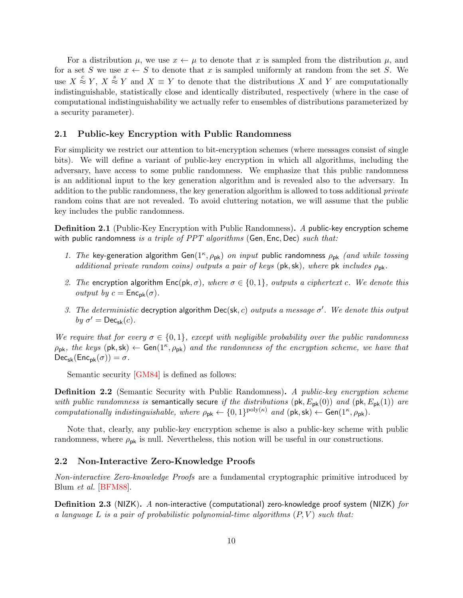For a distribution  $\mu$ , we use  $x \leftarrow \mu$  to denote that x is sampled from the distribution  $\mu$ , and for a set S we use  $x \leftarrow S$  to denote that x is sampled uniformly at random from the set S. We use  $X \stackrel{c}{\approx} Y$ ,  $X \stackrel{s}{\approx} Y$  and  $X \equiv Y$  to denote that the distributions X and Y are computationally indistinguishable, statistically close and identically distributed, respectively (where in the case of computational indistinguishability we actually refer to ensembles of distributions parameterized by a security parameter).

## <span id="page-9-0"></span>2.1 Public-key Encryption with Public Randomness

For simplicity we restrict our attention to bit-encryption schemes (where messages consist of single bits). We will define a variant of public-key encryption in which all algorithms, including the adversary, have access to some public randomness. We emphasize that this public randomness is an additional input to the key generation algorithm and is revealed also to the adversary. In addition to the public randomness, the key generation algorithm is allowed to toss additional *private* random coins that are not revealed. To avoid cluttering notation, we will assume that the public key includes the public randomness.

<span id="page-9-2"></span>Definition 2.1 (Public-Key Encryption with Public Randomness). A public-key encryption scheme with public randomness is a triple of  $PPT$  algorithms (Gen, Enc, Dec) such that:

- 1. The key-generation algorithm Gen( $1^{\kappa}$ ,  $\rho_{\rm pk}$ ) on input public randomness  $\rho_{\rm pk}$  (and while tossing additional private random coins) outputs a pair of keys (pk, sk), where pk includes  $\rho_{\rm pk}$ .
- 2. The encryption algorithm  $Enc(\mathsf{pk}, \sigma)$ , where  $\sigma \in \{0, 1\}$ , outputs a ciphertext c. We denote this *output by*  $c = \mathsf{Enc}_{\sf pk}(\sigma)$ .
- 3. The deterministic decryption algorithm Dec(sk, c) outputs a message  $\sigma'$ . We denote this output by  $\sigma' = \mathsf{Dec}_{\mathsf{sk}}(c)$ .

We require that for every  $\sigma \in \{0,1\}$ , except with negligible probability over the public randomness  $\rho_{\rm pk}$ , the keys (pk, sk)  $\leftarrow$  Gen(1<sup>k</sup>,  $\rho_{\rm pk}$ ) and the randomness of the encryption scheme, we have that  $Dec_{sk}(Enc_{pk}(\sigma)) = \sigma.$ 

Semantic security [\[GM84\]](#page-32-15) is defined as follows:

**Definition 2.2** (Semantic Security with Public Randomness). A public-key encryption scheme with public randomness is semantically secure if the distributions (pk,  $E_{\text{pk}}(0)$ ) and (pk,  $E_{\text{pk}}(1)$ ) are computationally indistinguishable, where  $\rho_{pk} \leftarrow \{0,1\}^{poly(\kappa)}$  and  $(\mathsf{pk}, \mathsf{sk}) \leftarrow \mathsf{Gen}(1^{\kappa}, \rho_{pk})$ .

Note that, clearly, any public-key encryption scheme is also a public-key scheme with public randomness, where  $\rho_{\rm pk}$  is null. Nevertheless, this notion will be useful in our constructions.

## <span id="page-9-1"></span>2.2 Non-Interactive Zero-Knowledge Proofs

Non-interactive Zero-knowledge Proofs are a fundamental cryptographic primitive introduced by Blum et al. [\[BFM88\]](#page-31-1).

**Definition 2.3** (NIZK). A non-interactive (computational) zero-knowledge proof system (NIZK) for a language L is a pair of probabilistic polynomial-time algorithms  $(P, V)$  such that: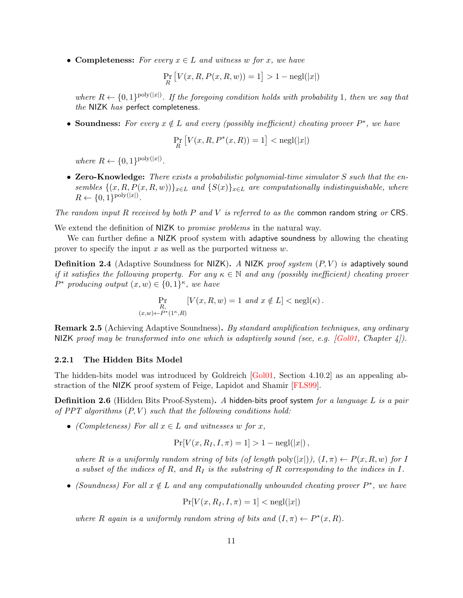• Completeness: For every  $x \in L$  and witness w for x, we have

$$
\Pr_R \left[ V(x, R, P(x, R, w)) = 1 \right] > 1 - \text{negl}(|x|)
$$

where  $R \leftarrow \{0,1\}^{\text{poly}(|x|)}$ . If the foregoing condition holds with probability 1, then we say that the NIZK has perfect completeness.

• Soundness: For every  $x \notin L$  and every (possibly inefficient) cheating prover  $P^*$ , we have

$$
\Pr_R\big[V(x,R,P^*(x,R))=1\big]<{\rm negl}(|x|)
$$

where  $R \leftarrow \{0, 1\}^{\text{poly}(|x|)}$ .

• Zero-Knowledge: There exists a probabilistic polynomial-time simulator  $S$  such that the ensembles  $\{(x, R, P(x, R, w))\}_{x \in L}$  and  $\{S(x)\}_{x \in L}$  are computationally indistinguishable, where  $R \leftarrow \{0, 1\}^{\text{poly}(|x|)}.$ 

The random input R received by both P and V is referred to as the common random string or CRS.

We extend the definition of NIZK to *promise problems* in the natural way.

We can further define a NIZK proof system with adaptive soundness by allowing the cheating prover to specify the input  $x$  as well as the purported witness  $w$ .

**Definition 2.4** (Adaptive Soundness for NIZK). A NIZK proof system  $(P, V)$  is adaptively sound if it satisfies the following property. For any  $\kappa \in \mathbb{N}$  and any (possibly inefficient) cheating prover  $P^*$  producing output  $(x, w) \in \{0, 1\}^{\kappa}$ , we have

$$
\Pr_{\substack{R,\\(x,w)\leftarrow P^*(1^{\kappa},R)}}\left[V(x,R,w)=1\ and\ x\notin L\right]<\mathop{\rm negl}(\kappa)\ .
$$

<span id="page-10-0"></span>Remark 2.5 (Achieving Adaptive Soundness). By standard amplification techniques, any ordinary NIZK proof may be transformed into one which is adaptively sound (see, e.g.  $[Gold1, Chapter 4]$ ).

#### 2.2.1 The Hidden Bits Model

The hidden-bits model was introduced by Goldreich [\[Gol01,](#page-32-12) Section 4.10.2] as an appealing abstraction of the NIZK proof system of Feige, Lapidot and Shamir [\[FLS99\]](#page-31-6).

**Definition 2.6** (Hidden Bits Proof-System). A hidden-bits proof system for a language L is a pair of PPT algorithms  $(P, V)$  such that the following conditions hold:

• (Completeness) For all  $x \in L$  and witnesses w for x,

$$
Pr[V(x, R_I, I, \pi) = 1] > 1 - negl(|x|),
$$

where R is a uniformly random string of bits (of length poly $(|x|)$ ),  $(I,\pi) \leftarrow P(x,R,w)$  for I a subset of the indices of R, and  $R_I$  is the substring of R corresponding to the indices in I.

• (Soundness) For all  $x \notin L$  and any computationally unbounded cheating prover  $P^*$ , we have

$$
\Pr[V(x, R_I, I, \pi) = 1] < \text{negl}(|x|)
$$

where R again is a uniformly random string of bits and  $(I, \pi) \leftarrow P^*(x, R)$ .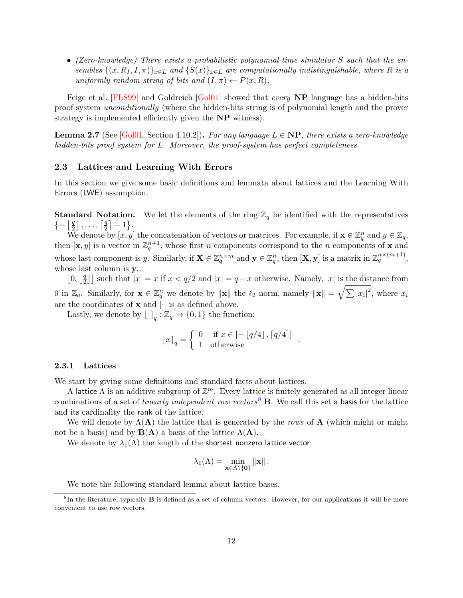• (Zero-knowledge) There exists a probabilistic polynomial-time simulator S such that the ensembles  $\{(x, R_I, I, \pi)\}_{x \in L}$  and  $\{S(x)\}_{x \in L}$  are computationally indistinguishable, where R is a uniformly random string of bits and  $(I, \pi) \leftarrow P(x, R)$ .

Feige et al. [\[FLS99\]](#page-31-6) and Goldreich [\[Gol01\]](#page-32-12) showed that *every* **NP** language has a hidden-bits proof system unconditionally (where the hidden-bits string is of polynomial length and the prover strategy is implemented efficiently given the **NP** witness).

<span id="page-11-2"></span>**Lemma 2.7** (See [\[Gol01,](#page-32-12) Section 4.10.2]). For any language  $L \in NP$ , there exists a zero-knowledge hidden-bits proof system for L. Moreover, the proof-system has perfect completeness.

## <span id="page-11-0"></span>2.3 Lattices and Learning With Errors

In this section we give some basic definitions and lemmata about lattices and the Learning With Errors (LWE) assumption.

**Standard Notation.** We let the elements of the ring  $\mathbb{Z}_q$  be identified with the representatives  $\{-\mid \frac{q}{2}$  $\frac{q}{2}$ ],...,  $\lceil \frac{q}{2}$  $\frac{q}{2}$  | -1}.

We denote by  $[x, y]$  the concatenation of vectors or matrices. For example, if  $\mathbf{x} \in \mathbb{Z}_q^n$  and  $y \in \mathbb{Z}_q$ , then  $[\mathbf{x}, y]$  is a vector in  $\mathbb{Z}_q^{n+1}$ , whose first n components correspond to the n components of **x** and whose last component is y. Similarly, if  $\mathbf{X} \in \mathbb{Z}_q^{n \times m}$  and  $\mathbf{y} \in \mathbb{Z}_q^n$ , then  $[\mathbf{X}, \mathbf{y}]$  is a matrix in  $\mathbb{Z}_q^{n \times (m+1)}$ , whose last column is **y**.

 $\left[0,\left|\frac{q}{2}\right.\right]$  $\left[\frac{q}{2}\right]$  such that  $|x| = x$  if  $x < q/2$  and  $|x| = q - x$  otherwise. Namely,  $|x|$  is the distance from 0 in  $\mathbb{Z}_q$ . Similarly, for  $\mathbf{x} \in \mathbb{Z}_q^n$  we denote by  $\|\mathbf{x}\|$  the  $\ell_2$  norm, namely  $\|\mathbf{x}\| = \sqrt{\sum |x_i|^2}$ , where  $x_i$ are the coordinates of  $x$  and  $|\cdot|$  is as defined above.

Lastly, we denote by  $\lfloor \cdot \rceil_q : \mathbb{Z}_q \to \{0, 1\}$  the function:

$$
\lfloor x \rceil_q = \begin{cases} 0 & \text{if } x \in [-\lfloor q/4 \rfloor, \lceil q/4 \rceil] \\ 1 & \text{otherwise} \end{cases}.
$$

#### 2.3.1 Lattices

We start by giving some definitions and standard facts about lattices.

A lattice  $\Lambda$  is an additive subgroup of  $\mathbb{Z}^m$ . Every lattice is finitely generated as all integer linear combinations of a set of *linearly independent row vectors*<sup>[8](#page-11-1)</sup> **B**. We call this set a basis for the lattice and its cardinality the rank of the lattice.

We will denote by  $\Lambda(A)$  the lattice that is generated by the rows of A (which might or might not be a basis) and by  $B(A)$  a basis of the lattice  $\Lambda(A)$ .

We denote by  $\lambda_1(\Lambda)$  the length of the shortest nonzero lattice vector:

$$
\lambda_1(\Lambda) = \min_{\mathbf{x} \in \Lambda \setminus \{\mathbf{0}\}} \|\mathbf{x}\|.
$$

<span id="page-11-1"></span>We note the following standard lemma about lattice bases.

<sup>&</sup>lt;sup>8</sup>In the literature, typically **B** is defined as a set of column vectors. However, for our applications it will be more convenient to use row vectors.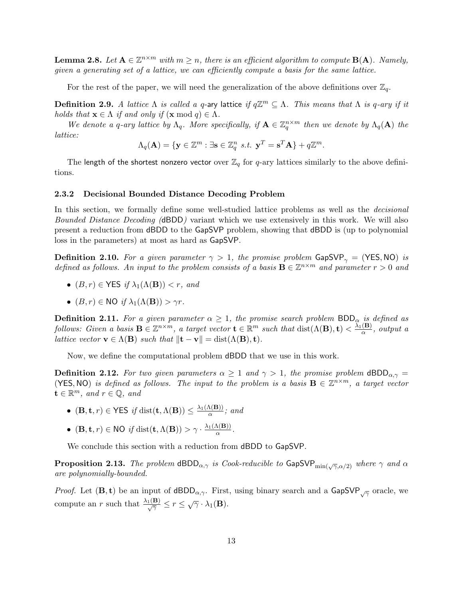**Lemma 2.8.** Let  $A \in \mathbb{Z}^{n \times m}$  with  $m \geq n$ , there is an efficient algorithm to compute  $B(A)$ . Namely, given a generating set of a lattice, we can efficiently compute a basis for the same lattice.

For the rest of the paper, we will need the generalization of the above definitions over  $\mathbb{Z}_q$ .

**Definition 2.9.** A lattice  $\Lambda$  is called a q-ary lattice if  $q\mathbb{Z}^m \subseteq \Lambda$ . This means that  $\Lambda$  is q-ary if it holds that  $\mathbf{x} \in \Lambda$  if and only if  $(\mathbf{x} \mod q) \in \Lambda$ .

We denote a q-ary lattice by  $\Lambda_q$ . More specifically, if  $\mathbf{A} \in \mathbb{Z}_q^{n \times m}$  then we denote by  $\Lambda_q(\mathbf{A})$  the lattice:

$$
\Lambda_q(\mathbf{A}) = \{ \mathbf{y} \in \mathbb{Z}^m : \exists \mathbf{s} \in \mathbb{Z}_q^n \ s.t. \ \mathbf{y}^T = \mathbf{s}^T \mathbf{A} \} + q \mathbb{Z}^m.
$$

The length of the shortest nonzero vector over  $\mathbb{Z}_q$  for q-ary lattices similarly to the above definitions.

#### 2.3.2 Decisional Bounded Distance Decoding Problem

In this section, we formally define some well-studied lattice problems as well as the *decisional* Bounded Distance Decoding (dBDD) variant which we use extensively in this work. We will also present a reduction from dBDD to the GapSVP problem, showing that dBDD is (up to polynomial loss in the parameters) at most as hard as GapSVP.

**Definition 2.10.** For a given parameter  $\gamma > 1$ , the promise problem GapSVP<sub> $\gamma$ </sub> = (YES, NO) is defined as follows. An input to the problem consists of a basis  $\mathbf{B} \in \mathbb{Z}^{n \times m}$  and parameter  $r > 0$  and

- $(B, r) \in \text{YES}$  if  $\lambda_1(\Lambda(\mathbf{B})) < r$ , and
- $(B, r) \in \text{NO}$  if  $\lambda_1(\Lambda(\mathbf{B})) > \gamma r$ .

**Definition 2.11.** For a given parameter  $\alpha \geq 1$ , the promise search problem BDD<sub> $\alpha$ </sub> is defined as follows: Given a basis  $\mathbf{B} \in \mathbb{Z}^{n \times m}$ , a target vector  $\mathbf{t} \in \mathbb{R}^m$  such that  $\text{dist}(\Lambda(\mathbf{B}), \mathbf{t}) < \frac{\lambda_1(\mathbf{B})}{\alpha}$  $\frac{(\mathbf{B})}{\alpha}$ , output a *lattice vector*  $\mathbf{v} \in \Lambda(\mathbf{B})$  *such that*  $\|\mathbf{t} - \mathbf{v}\| = \text{dist}(\Lambda(\mathbf{B}), \mathbf{t}).$ 

Now, we define the computational problem dBDD that we use in this work.

**Definition 2.12.** For two given parameters  $\alpha \geq 1$  and  $\gamma > 1$ , the promise problem  $dBDD_{\alpha,\gamma} =$ (YES, NO) is defined as follows. The input to the problem is a basis  $\mathbf{B} \in \mathbb{Z}^{n \times m}$ , a target vector  $\mathbf{t} \in \mathbb{R}^m$ , and  $r \in \mathbb{Q}$ , and

- $(\mathbf{B}, \mathbf{t}, r) \in \mathsf{YES}$  if dist $(\mathbf{t}, \Lambda(\mathbf{B})) \leq \frac{\lambda_1(\Lambda(\mathbf{B}))}{\alpha}$  $\frac{\mathbf{A}(\mathbf{B})}{\alpha}$ ; and
- $(\mathbf{B}, \mathbf{t}, r) \in \text{NO}$  if  $dist(\mathbf{t}, \Lambda(\mathbf{B})) > \gamma \cdot \frac{\lambda_1(\Lambda(\mathbf{B}))}{\alpha}$  $\frac{\mathbf{A}(\mathbf{B})}{\alpha}$ .

We conclude this section with a reduction from dBDD to GapSVP.

<span id="page-12-0"></span>**Proposition 2.13.** The problem  $\text{dBDD}_{\alpha,\gamma}$  is Cook-reducible to  $\text{GapSVP}_{\text{min}(\sqrt{\gamma}, \alpha/2)}$  where  $\gamma$  and  $\alpha$ are polynomially-bounded.

*Proof.* Let  $(\mathbf{B}, \mathbf{t})$  be an input of  $dBDD_{\alpha,\gamma}$ . First, using binary search and a GapSVP<sub> $\sqrt{\gamma}$ </sub> oracle, we compute an r such that  $\frac{\lambda_1(\mathbf{B})}{\sqrt{\gamma}} \leq r \leq \sqrt{\gamma} \cdot \lambda_1(\mathbf{B}).$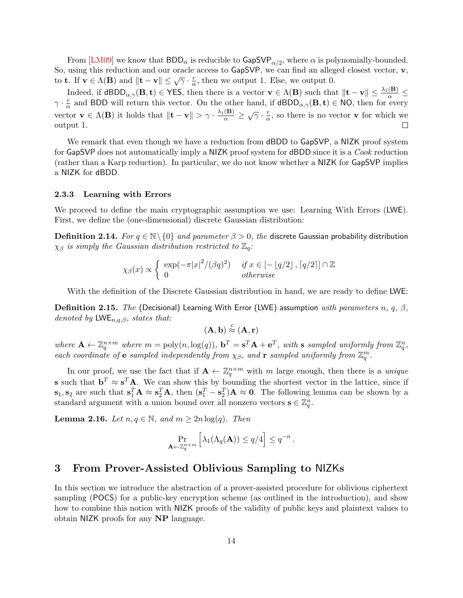From [\[LM09\]](#page-32-5) we know that  $\mathsf{BDD}_\alpha$  is reducible to  $\mathsf{GapSVP}_{\alpha/2}$ , where  $\alpha$  is polynomially-bounded. So, using this reduction and our oracle access to GapSVP, we can find an alleged closest vector, v, to **t**. If  $\mathbf{v} \in \Lambda(\mathbf{B})$  and  $\|\mathbf{t} - \mathbf{v}\| \leq \sqrt{\gamma} \cdot \frac{r}{\alpha}$  $\frac{r}{\alpha}$ , then we output 1. Else, we output 0.

Indeed, if  $dBDD_{\alpha,\gamma}(\mathbf{B},\mathbf{t}) \in \mathsf{YES},$  then there is a vector  $\mathbf{v} \in \Lambda(\mathbf{B})$  such that  $\|\mathbf{t} - \mathbf{v}\| \leq \frac{\lambda_1(\mathbf{B})}{\alpha} \leq$  $\gamma \cdot \frac{r}{\alpha}$  $\frac{r}{\alpha}$  and BDD will return this vector. On the other hand, if  $dBDD_{\alpha,\gamma}(\mathbf{B}, \mathbf{t}) \in \mathsf{NO}$ , then for every vector  $\mathbf{v} \in \Lambda(\mathbf{B})$  it holds that  $\|\mathbf{t} - \mathbf{v}\| > \gamma \cdot \frac{\lambda_1(\mathbf{B})}{\alpha} \geq \sqrt{\gamma} \cdot \frac{r}{\alpha}$  $\frac{r}{\alpha}$ , so there is no vector **v** for which we output 1.  $\Box$ 

We remark that even though we have a reduction from **dBDD** to **GapSVP**, a NIZK proof system for GapSVP does not automatically imply a NIZK proof system for dBDD since it is a Cook reduction (rather than a Karp reduction). In particular, we do not know whether a NIZK for GapSVP implies a NIZK for dBDD.

#### 2.3.3 Learning with Errors

We proceed to define the main cryptographic assumption we use: Learning With Errors (LWE). First, we define the (one-dimensional) discrete Gaussian distribution:

<span id="page-13-2"></span>**Definition 2.14.** For  $q \in \mathbb{N} \setminus \{0\}$  and parameter  $\beta > 0$ , the discrete Gaussian probability distribution  $\chi_{\beta}$  is simply the Gaussian distribution restricted to  $\mathbb{Z}_q$ :

$$
\chi_{\beta}(x) \propto \begin{cases} \exp(-\pi |x|^2/(\beta q)^2) & \text{if } x \in [-\lfloor q/2 \rfloor, \lceil q/2 \rceil] \cap \mathbb{Z} \\ 0 & \text{otherwise} \end{cases}
$$

With the definition of the Discrete Gaussian distribution in hand, we are ready to define LWE:

**Definition 2.15.** The (Decisional) Learning With Error (LWE) assumption with parameters n, q,  $\beta$ , denoted by  $LWE_{n,q,\beta}$ , states that:

$$
(\mathbf{A},\mathbf{b}) \stackrel{c}{\approx} (\mathbf{A},\mathbf{r})
$$

where  $\mathbf{A} \leftarrow \mathbb{Z}_q^{n \times m}$  where  $m = \text{poly}(n, \log(q)), \mathbf{b}^T = \mathbf{s}^T \mathbf{A} + \mathbf{e}^T$ , with  $\mathbf{s}$  sampled uniformly from  $\mathbb{Z}_q^n$ , each coordinate of e sampled independently from  $\chi_{\beta}$ , and r sampled uniformly from  $\mathbb{Z}_q^m$ .

In our proof, we use the fact that if  $\mathbf{A} \leftarrow \mathbb{Z}_q^{n \times m}$  with m large enough, then there is a unique **s** such that  $\mathbf{b}^T \approx \mathbf{s}^T \mathbf{A}$ . We can show this by bounding the shortest vector in the lattice, since if  $\mathbf{s}_1, \mathbf{s}_2$  are such that  $\mathbf{s}_1^T \mathbf{A} \approx \mathbf{s}_2^T \mathbf{A}$ , then  $(\mathbf{s}_1^T - \mathbf{s}_2^T) \mathbf{A} \approx \mathbf{0}$ . The following lemma can be shown by a standard argument with a union bound over all nonzero vectors  $\mathbf{s} \in \mathbb{Z}_q^n$ .

<span id="page-13-1"></span>**Lemma 2.16.** Let  $n, q \in \mathbb{N}$ , and  $m \geq 2n \log(q)$ . Then

$$
\Pr_{\mathbf{A}\leftarrow \mathbb{Z}_q^{n\times m}}\left[\lambda_1(\Lambda_q(\mathbf{A})) \le q/4\right] \le q^{-n}.
$$

# <span id="page-13-0"></span>3 From Prover-Assisted Oblivious Sampling to NIZKs

In this section we introduce the abstraction of a prover-assisted procedure for oblivious ciphertext sampling (POCS) for a public-key encryption scheme (as outlined in the introduction), and show how to combine this notion with NIZK proofs of the validity of public keys and plaintext values to obtain NIZK proofs for any NP language.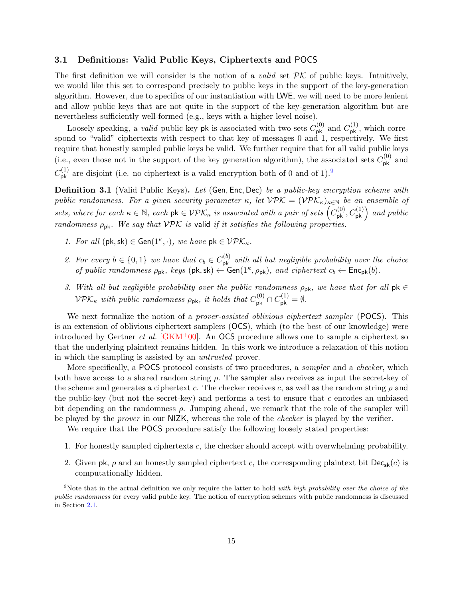## <span id="page-14-0"></span>3.1 Definitions: Valid Public Keys, Ciphertexts and POCS

The first definition we will consider is the notion of a *valid* set  $\mathcal{PK}$  of public keys. Intuitively, we would like this set to correspond precisely to public keys in the support of the key-generation algorithm. However, due to specifics of our instantiation with LWE, we will need to be more lenient and allow public keys that are not quite in the support of the key-generation algorithm but are nevertheless sufficiently well-formed (e.g., keys with a higher level noise).

Loosely speaking, a *valid* public key pk is associated with two sets  $C_{\mathsf{pk}}^{(0)}$  and  $C_{\mathsf{pk}}^{(1)}$ , which correspond to "valid" ciphertexts with respect to that key of messages 0 and 1, respectively. We first require that honestly sampled public keys be valid. We further require that for all valid public keys (i.e., even those not in the support of the key generation algorithm), the associated sets  $C_{\rm pk}^{(0)}$  and  $C_{\mathsf{pk}}^{(1)}$  are disjoint (i.e. no ciphertext is a valid encryption both of 0 and of 1).<sup>[9](#page-14-1)</sup>

<span id="page-14-2"></span>**Definition 3.1** (Valid Public Keys). Let (Gen, Enc, Dec) be a public-key encryption scheme with public randomness. For a given security parameter  $\kappa$ , let  $VPK = (VPK_{\kappa})_{\kappa \in \mathbb{N}}$  be an ensemble of sets, where for each  $\kappa \in \mathbb{N}$ , each  $\mathsf{pk} \in \mathcal{VPK}_\kappa$  is associated with a pair of sets  $(C^{(0)}_{\mathsf{pk}}, C^{(1)}_{\mathsf{pk}})$  and public randomness  $\rho_{\rm pk}$ . We say that VPK is valid if it satisfies the following properties.

- 1. For all  $(\mathsf{pk}, \mathsf{sk}) \in \mathsf{Gen}(1^{\kappa}, \cdot),$  we have  $\mathsf{pk} \in \mathcal{VPE}_{\kappa}$ .
- 2. For every  $b \in \{0,1\}$  we have that  $c_b \in C_{\mathsf{pk}}^{(b)}$  with all but negligible probability over the choice of public randomness  $\rho_{\rm pk}$ , keys (pk, sk)  $\leftarrow$  Gen(1<sup> $\kappa$ </sup>,  $\rho_{\rm pk}$ ), and ciphertext  $c_b \leftarrow$  Enc<sub>pk</sub>(b).
- 3. With all but negligible probability over the public randomness  $\rho_{\rm pk}$ , we have that for all  $\mathsf{pk} \in$  $VPK_{\kappa}$  with public randomness  $\rho_{\rm pk}$ , it holds that  $C_{\rm pk}^{(0)} \cap C_{\rm pk}^{(1)} = \emptyset$ .

We next formalize the notion of a *prover-assisted oblivious ciphertext sampler* (POCS). This is an extension of oblivious ciphertext samplers (OCS), which (to the best of our knowledge) were introduced by Gertner *et al.* [\[GKM](#page-32-13)<sup>+</sup>00]. An OCS procedure allows one to sample a ciphertext so that the underlying plaintext remains hidden. In this work we introduce a relaxation of this notion in which the sampling is assisted by an untrusted prover.

More specifically, a POCS protocol consists of two procedures, a *sampler* and a *checker*, which both have access to a shared random string  $\rho$ . The sampler also receives as input the secret-key of the scheme and generates a ciphertext c. The checker receives c, as well as the random string  $\rho$  and the public-key (but not the secret-key) and performs a test to ensure that  $c$  encodes an unbiased bit depending on the randomness  $\rho$ . Jumping ahead, we remark that the role of the sampler will be played by the prover in our NIZK, whereas the role of the checker is played by the verifier.

We require that the **POCS** procedure satisfy the following loosely stated properties:

- 1. For honestly sampled ciphertexts c, the checker should accept with overwhelming probability.
- 2. Given pk,  $\rho$  and an honestly sampled ciphertext c, the corresponding plaintext bit  $\text{Dec}_{\text{sk}}(c)$  is computationally hidden.

<span id="page-14-1"></span><sup>&</sup>lt;sup>9</sup>Note that in the actual definition we only require the latter to hold with high probability over the choice of the public randomness for every valid public key. The notion of encryption schemes with public randomness is discussed in Section [2.1.](#page-9-0)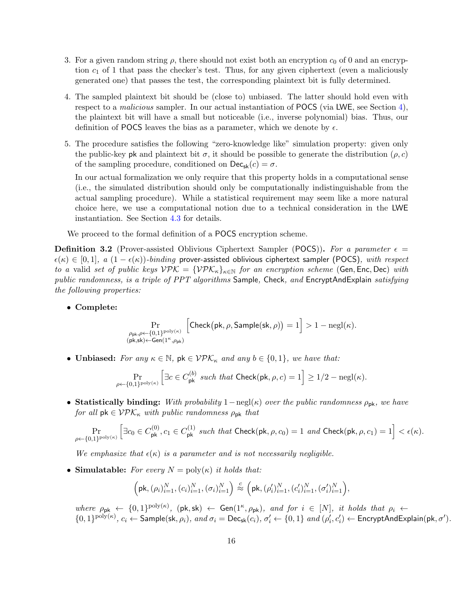- 3. For a given random string  $\rho$ , there should not exist both an encryption  $c_0$  of 0 and an encryption  $c_1$  of 1 that pass the checker's test. Thus, for any given ciphertext (even a maliciously generated one) that passes the test, the corresponding plaintext bit is fully determined.
- 4. The sampled plaintext bit should be (close to) unbiased. The latter should hold even with respect to a *malicious* sampler. In our actual instantiation of **POCS** (via LWE, see Section [4\)](#page-21-0), the plaintext bit will have a small but noticeable (i.e., inverse polynomial) bias. Thus, our definition of POCS leaves the bias as a parameter, which we denote by  $\epsilon$ .
- 5. The procedure satisfies the following "zero-knowledge like" simulation property: given only the public-key pk and plaintext bit  $\sigma$ , it should be possible to generate the distribution  $(\rho, c)$ of the sampling procedure, conditioned on  $\mathsf{Dec}_{\mathsf{sk}}(c) = \sigma$ .

In our actual formalization we only require that this property holds in a computational sense (i.e., the simulated distribution should only be computationally indistinguishable from the actual sampling procedure). While a statistical requirement may seem like a more natural choice here, we use a computational notion due to a technical consideration in the LWE instantiation. See Section [4.3](#page-25-0) for details.

We proceed to the formal definition of a POCS encryption scheme.

<span id="page-15-0"></span>**Definition 3.2** (Prover-assisted Oblivious Ciphertext Sampler (POCS)). For a parameter  $\epsilon$  =  $\epsilon(\kappa) \in [0,1], a (1-\epsilon(\kappa))$ -binding prover-assisted oblivious ciphertext sampler (POCS), with respect to a valid set of public keys  $VPK = \{VPK_{\kappa}\}_{{\kappa} \in {\mathbb N}}$  for an encryption scheme (Gen, Enc, Dec) with public randomness, is a triple of PPT algorithms Sample, Check, and EncryptAndExplain satisfying the following properties:

• Complete:

$$
\Pr_{\substack{\rho_{\sf pk}, \rho \leftarrow \{0,1\}^{\sf poly}(\kappa) \\ (\sf pk, sk) \leftarrow \mathsf{Gen}(1^{\kappa}, \rho_{\sf pk})}} \left[ \mathsf{Check}(\sf pk, \rho, \mathsf{Sample}(\sf sk, \rho)) = 1 \right] > 1 - {\sf negl}(\kappa).
$$

• Unbiased: For any  $\kappa \in \mathbb{N}$ ,  $\mathsf{pk} \in \mathcal{VPL}_\kappa$  and any  $b \in \{0,1\}$ , we have that:

$$
\Pr_{\rho \leftarrow \{0,1\}^{\mathrm{poly}(\kappa)}}\left[\exists c \in C^{(b)}_{\mathsf{pk}} \textit{ such that} \ \mathsf{Check}(\mathsf{pk},\rho,c) = 1\right] \geq 1/2 - {\mathrm{negl}}(\kappa).
$$

• Statistically binding: With probability  $1-\text{negl}(\kappa)$  over the public randomness  $\rho_{\text{pk}}$ , we have for all  $pk \in VPK_{\kappa}$  with public randomness  $\rho_{pk}$  that

$$
\Pr_{\rho \leftarrow \{0,1\}^{\text{poly}(\kappa)}}\left[\exists c_0 \in C^{(0)}_{\sf pk}, c_1 \in C^{(1)}_{\sf pk} \text{ such that Check}(\text{pk}, \rho, c_0) = 1 \text{ and Check}(\text{pk}, \rho, c_1) = 1\right] < \epsilon(\kappa).
$$

We emphasize that  $\epsilon(\kappa)$  is a parameter and is not necessarily negligible.

• Simulatable: For every  $N = \text{poly}(\kappa)$  it holds that:

$$
\Big(\text{pk}, (\rho_i)_{i=1}^N, (c_i)_{i=1}^N, (\sigma_i)_{i=1}^N\Big) \stackrel{c}{\approx} \Big(\text{pk}, (\rho'_i)_{i=1}^N, (c'_i)_{i=1}^N, (\sigma'_i)_{i=1}^N\Big),
$$

where  $\rho_{\rm pk} \leftarrow \{0,1\}^{\text{poly}(\kappa)}$ ,  $(\text{pk}, \text{sk}) \leftarrow \text{Gen}(1^{\kappa}, \rho_{\text{pk}})$ , and for  $i \in [N]$ , it holds that  $\rho_i \leftarrow$  $\{0,1\}^{\text{poly}(\kappa)}, c_i \leftarrow \text{Sample}(\textsf{sk}, \rho_i), \text{ and } \sigma_i = \text{Dec}_{\textsf{sk}}(c_i), \sigma'_i \leftarrow \{0,1\} \text{ and } (\rho'_i, c'_i) \leftarrow \text{EncryptAndExplain}(\textsf{pk}, \sigma').$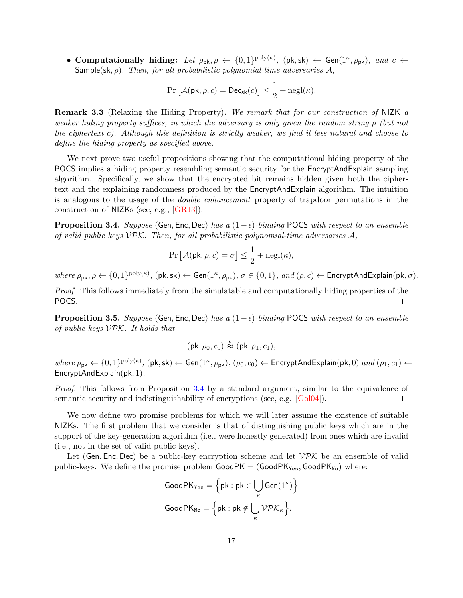• Computationally hiding: Let  $\rho_{pk}$ ,  $\rho \leftarrow \{0,1\}^{poly(\kappa)},$   $(\mathsf{pk}, \mathsf{sk}) \leftarrow \mathsf{Gen}(1^{\kappa}, \rho_{pk}),$  and  $c \leftarrow$ Sample(sk,  $\rho$ ). Then, for all probabilistic polynomial-time adversaries  $\mathcal{A}$ ,

$$
\Pr\left[\mathcal{A}(\mathsf{pk},\rho,c) = \mathsf{Dec}_{\mathsf{sk}}(c)\right] \le \frac{1}{2} + \mathsf{negl}(\kappa).
$$

Remark 3.3 (Relaxing the Hiding Property). We remark that for our construction of NIZK a weaker hiding property suffices, in which the adversary is only given the random string  $\rho$  (but not the ciphertext c). Although this definition is strictly weaker, we find it less natural and choose to define the hiding property as specified above.

We next prove two useful propositions showing that the computational hiding property of the POCS implies a hiding property resembling semantic security for the EncryptAndExplain sampling algorithm. Specifically, we show that the encrypted bit remains hidden given both the ciphertext and the explaining randomness produced by the EncryptAndExplain algorithm. The intuition is analogous to the usage of the double enhancement property of trapdoor permutations in the construction of NIZKs (see, e.g., [\[GR13\]](#page-32-14)).

<span id="page-16-0"></span>**Proposition 3.4.** Suppose (Gen, Enc, Dec) has a  $(1-\epsilon)$ -binding POCS with respect to an ensemble of valid public keys  $V\mathcal{P}\mathcal{K}$ . Then, for all probabilistic polynomial-time adversaries  $\mathcal{A}$ ,

$$
\Pr\left[\mathcal{A}(\mathsf{pk},\rho,c) = \sigma\right] \le \frac{1}{2} + \text{negl}(\kappa),
$$

where  $\rho_{\mathsf{pk}}, \rho \leftarrow \{0, 1\}^{\text{poly}(\kappa)}, (\mathsf{pk}, \mathsf{sk}) \leftarrow \mathsf{Gen}(1^{\kappa}, \rho_{\mathsf{pk}}), \sigma \in \{0, 1\}, \text{ and } (\rho, c) \leftarrow \mathsf{EncryptAndExplain}(\mathsf{pk}, \sigma)$ .

Proof. This follows immediately from the simulatable and computationally hiding properties of the POCS.  $\Box$ 

<span id="page-16-1"></span>**Proposition 3.5.** Suppose (Gen, Enc, Dec) has a  $(1-\epsilon)$ -binding POCS with respect to an ensemble of public keys  $VPK$ . It holds that

$$
(\mathsf{pk}, \rho_0, c_0) \stackrel{c}{\approx} (\mathsf{pk}, \rho_1, c_1),
$$

 $where \rho_{\textsf{pk}} \leftarrow \{0,1\}^{\textnormal{poly}(\kappa)}, (\textsf{pk},\textsf{sk}) \leftarrow \textsf{Gen}(1^{\kappa},\rho_{\textsf{pk}}), (\rho_0,c_0) \leftarrow \textsf{EncryptAndExplain}(\textsf{pk},0) \textit{ and } (\rho_1,c_1) \leftarrow \{0,1\}^{\textnormal{poly}(\kappa)}, (\textsf{pk},\textsf{sk}) \leftarrow \textsf{Gen}(1^{\kappa},\rho_{\textsf{pk}}), (\rho_0,c_0) \leftarrow \textsf{EncryptAndExplain}(\textsf{pk},0) \textit{ and } (\rho_1,c_1) \leftarrow \{0,1$ EncryptAndExplain(pk, 1).

Proof. This follows from Proposition [3.4](#page-16-0) by a standard argument, similar to the equivalence of semantic security and indistinguishability of encryptions (see, e.g. [\[Gol04\]](#page-32-16)).  $\Box$ 

We now define two promise problems for which we will later assume the existence of suitable NIZKs. The first problem that we consider is that of distinguishing public keys which are in the support of the key-generation algorithm (i.e., were honestly generated) from ones which are invalid (i.e., not in the set of valid public keys).

Let (Gen, Enc, Dec) be a public-key encryption scheme and let  $V\mathcal{P}\mathcal{K}$  be an ensemble of valid public-keys. We define the promise problem  $GoodPK = (GoodPK<sub>Yes</sub>, GoodPK<sub>No</sub>)$  where:

$$
\text{GoodPK}_{\text{Yes}} = \left\{ \text{pk} : \text{pk} \in \bigcup_{\kappa} \text{Gen}(1^{\kappa}) \right\}
$$

$$
\text{GoodPK}_{\text{No}} = \left\{ \text{pk} : \text{pk} \notin \bigcup_{\kappa} \mathcal{VPL}_{\kappa} \right\}.
$$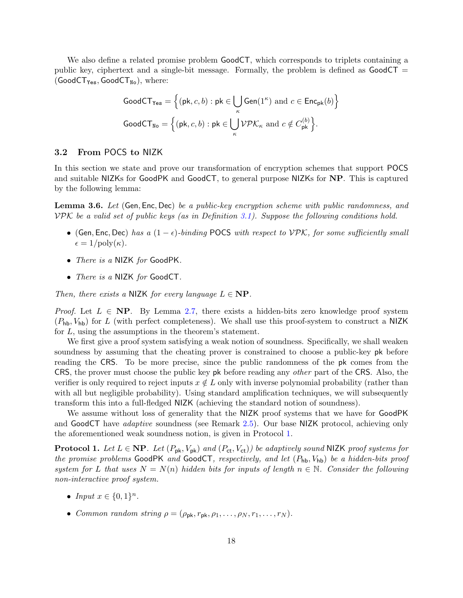We also define a related promise problem GoodCT, which corresponds to triplets containing a public key, ciphertext and a single-bit message. Formally, the problem is defined as  $GoodCT =$  $(GoodCT_{Yes}, GoodCT_{No}),$  where:

$$
\text{GoodCT}_{\text{Yes}} = \left\{ (\mathsf{pk}, c, b) : \mathsf{pk} \in \bigcup_{\kappa} \text{Gen}(1^{\kappa}) \text{ and } c \in \text{Enc}_{\textsf{pk}}(b) \right\}
$$

$$
\text{GoodCT}_{\text{No}} = \left\{ (\mathsf{pk}, c, b) : \mathsf{pk} \in \bigcup_{\kappa} \mathcal{VPL}_{\kappa} \text{ and } c \notin C_{\textsf{pk}}^{(b)} \right\}.
$$

## <span id="page-17-0"></span>3.2 From POCS to NIZK

In this section we state and prove our transformation of encryption schemes that support POCS and suitable NIZKs for GoodPK and GoodCT, to general purpose NIZKs for NP. This is captured by the following lemma:

<span id="page-17-2"></span>Lemma 3.6. Let (Gen, Enc, Dec) be a public-key encryption scheme with public randomness, and  $VPK$  be a valid set of public keys (as in Definition [3.1\)](#page-14-2). Suppose the following conditions hold.

- (Gen, Enc, Dec) has a  $(1 \epsilon)$ -binding POCS with respect to  $VPK$ , for some sufficiently small  $\epsilon = 1/\text{poly}(\kappa)$ .
- There is a NIZK for GoodPK.
- *There is a* NIZK for GoodCT.

Then, there exists a NIZK for every language  $L \in \mathbf{NP}$ .

*Proof.* Let  $L \in NP$ . By Lemma [2.7,](#page-11-2) there exists a hidden-bits zero knowledge proof system  $(P_{\text{hb}}, V_{\text{hb}})$  for L (with perfect completeness). We shall use this proof-system to construct a NIZK for L, using the assumptions in the theorem's statement.

We first give a proof system satisfying a weak notion of soundness. Specifically, we shall weaken soundness by assuming that the cheating prover is constrained to choose a public-key pk before reading the CRS. To be more precise, since the public randomness of the pk comes from the CRS, the prover must choose the public key pk before reading any other part of the CRS. Also, the verifier is only required to reject inputs  $x \notin L$  only with inverse polynomial probability (rather than with all but negligible probability). Using standard amplification techniques, we will subsequently transform this into a full-fledged NIZK (achieving the standard notion of soundness).

We assume without loss of generality that the NIZK proof systems that we have for GoodPK and GoodCT have adaptive soundness (see Remark [2.5\)](#page-10-0). Our base NIZK protocol, achieving only the aforementioned weak soundness notion, is given in Protocol [1.](#page-17-1)

<span id="page-17-1"></span>**Protocol 1.** Let  $L \in \mathbf{NP}$ . Let  $(P_{\mathsf{pk}}, V_{\mathsf{pk}})$  and  $(P_{\mathsf{ct}}, V_{\mathsf{ct}})$  be adaptively sound NIZK proof systems for the promise problems GoodPK and GoodCT, respectively, and let  $(P_{hb}, V_{hb})$  be a hidden-bits proof system for L that uses  $N = N(n)$  hidden bits for inputs of length  $n \in \mathbb{N}$ . Consider the following non-interactive proof system.

- Input  $x \in \{0,1\}^n$ .
- Common random string  $\rho = (\rho_{\rm pk}, r_{\rm pk}, \rho_1, \ldots, \rho_N, r_1, \ldots, r_N)$ .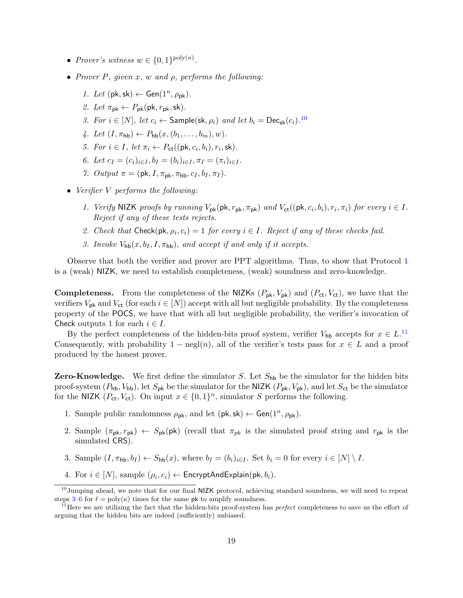- Prover's witness  $w \in \{0,1\}^{\text{poly}(n)}$ .
- <span id="page-18-2"></span>• Prover P, given x, w and  $\rho$ , performs the following:
	- 1. Let  $(\mathsf{pk}, \mathsf{sk}) \leftarrow \mathsf{Gen}(1^n, \rho_{\mathsf{pk}}).$
	- 2. Let  $\pi_{\text{pk}} \leftarrow P_{\text{pk}}(\text{pk}, r_{\text{pk}}, \text{sk}).$
	- 3. For  $i \in [N]$ , let  $c_i \leftarrow$  Sample(sk,  $\rho_i$ ) and let  $b_i = \textsf{Dec}_{\textsf{sk}}(c_i)$ .<sup>[10](#page-18-0)</sup>
	- 4. Let  $(I, \pi_{\text{hb}}) \leftarrow P_{\text{hb}}(x, (b_1, \ldots, b_m), w)$ .
	- 5. For  $i \in I$ , let  $\pi_i \leftarrow P_{\text{ct}}((\text{pk}, c_i, b_i), r_i, \text{sk}).$
	- 6. Let  $c_I = (c_i)_{i \in I}$ ,  $b_I = (b_i)_{i \in I}$ ,  $\pi_I = (\pi_i)_{i \in I}$ .
	- 7. Output  $\pi = (\mathsf{pk}, I, \pi_{\mathsf{pk}}, \pi_{\mathsf{hb}}, c_I, b_I, \pi_I)$ .
- <span id="page-18-3"></span>• Verifier V performs the following:
	- 1. Verify NIZK proofs by running  $V_{\mathsf{pk}}(\mathsf{pk}, r_{\mathsf{pk}}, \pi_{\mathsf{pk}})$  and  $V_{\mathsf{ct}}((\mathsf{pk}, c_i, b_i), r_i, \pi_i)$  for every  $i \in I$ . Reject if any of these tests rejects.
	- 2. Check that Check( $pk, \rho_i, c_i$ ) = 1 for every  $i \in I$ . Reject if any of these checks fail.
	- 3. Invoke  $V_{\text{hb}}(x, b_I, I, \pi_{\text{hb}})$ , and accept if and only if it accepts.

Observe that both the verifier and prover are PPT algorithms. Thus, to show that Protocol [1](#page-17-1) is a (weak) NIZK, we need to establish completeness, (weak) soundness and zero-knowledge.

**Completeness.** From the completeness of the NIZKs  $(P_{\mathsf{pk}}, V_{\mathsf{pk}})$  and  $(P_{\mathsf{ct}}, V_{\mathsf{ct}})$ , we have that the verifiers  $V_{\text{pk}}$  and  $V_{\text{ct}}$  (for each  $i \in [N]$ ) accept with all but negligible probability. By the completeness property of the POCS, we have that with all but negligible probability, the verifier's invocation of Check outputs 1 for each  $i \in I$ .

By the perfect completeness of the hidden-bits proof system, verifier  $V_{\text{hb}}$  accepts for  $x \in L$ .<sup>[11](#page-18-1)</sup> Consequently, with probability  $1 - neg(n)$ , all of the verifier's tests pass for  $x \in L$  and a proof produced by the honest prover.

**Zero-Knowledge.** We first define the simulator S. Let  $S_{\text{hb}}$  be the simulator for the hidden bits proof-system  $(P_{\text{hb}}, V_{\text{hb}})$ , let  $S_{\text{pk}}$  be the simulator for the NIZK  $(P_{\text{pk}}, V_{\text{pk}})$ , and let  $S_{\text{ct}}$  be the simulator for the NIZK  $(P_{\text{ct}}, V_{\text{ct}})$ . On input  $x \in \{0, 1\}^n$ , simulator S performs the following.

- 1. Sample public randomness  $\rho_{\rm pk}$ , and let  $(\mathsf{pk}, \mathsf{sk}) \leftarrow \mathsf{Gen}(1^n, \rho_{\rm pk})$ .
- 2. Sample  $(\pi_{\mathsf{pk}}, r_{\mathsf{pk}}) \leftarrow S_{\mathsf{pk}}(\mathsf{pk})$  (recall that  $\pi_{pk}$  is the simulated proof string and  $r_{\mathsf{pk}}$  is the simulated CRS).
- 3. Sample  $(I, \pi_{\text{hb}}, b_I) \leftarrow S_{\text{hb}}(x)$ , where  $b_I = (b_i)_{i \in I}$ . Set  $b_i = 0$  for every  $i \in [N] \setminus I$ .
- <span id="page-18-0"></span>4. For  $i \in [N]$ , sample  $(\rho_i, c_i) \leftarrow$  EncryptAndExplain(pk,  $b_i$ ).

 $^{10}$ Jumping ahead, we note that for our final NIZK protocol, achieving standard soundness, we will need to repeat steps [3](#page-18-2)[–6](#page-18-3) for  $\ell = \text{poly}(\kappa)$  times for the same pk to amplify soundness.

<span id="page-18-1"></span> $11$ Here we are utilizing the fact that the hidden-bits proof-system has *perfect* completeness to save us the effort of arguing that the hidden bits are indeed (sufficiently) unbiased.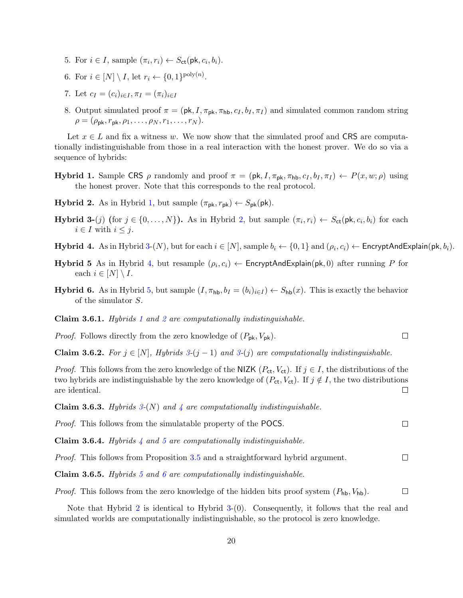- 5. For  $i \in I$ , sample  $(\pi_i, r_i) \leftarrow S_{\text{ct}}(\text{pk}, c_i, b_i)$ .
- 6. For  $i \in [N] \setminus I$ , let  $r_i \leftarrow \{0, 1\}^{\text{poly}(n)}$ .
- 7. Let  $c_I = (c_i)_{i \in I}$ ,  $\pi_I = (\pi_i)_{i \in I}$
- 8. Output simulated proof  $\pi = (\mathsf{pk}, I, \pi_{\mathsf{pk}}, \pi_{\mathsf{hb}}, c_I, b_I, \pi_I)$  and simulated common random string  $\rho = (\rho_{\rm pk}, r_{\rm pk}, \rho_1, \ldots, \rho_N, r_1, \ldots, r_N).$

Let  $x \in L$  and fix a witness w. We now show that the simulated proof and CRS are computationally indistinguishable from those in a real interaction with the honest prover. We do so via a sequence of hybrids:

- <span id="page-19-0"></span>**Hybrid 1.** Sample CRS  $\rho$  randomly and proof  $\pi = (\mathsf{pk}, I, \pi_{\mathsf{pk}}, \pi_{\mathsf{hb}}, c_I, b_I, \pi_I) \leftarrow P(x, w; \rho)$  using the honest prover. Note that this corresponds to the real protocol.
- <span id="page-19-1"></span>**Hybrid 2.** As in Hybrid [1,](#page-19-0) but sample  $(\pi_{\mathsf{pk}}, r_{\mathsf{pk}}) \leftarrow S_{\mathsf{pk}}(\mathsf{pk}).$
- <span id="page-19-2"></span>**Hybrid 3-**(j) (for  $j \in \{0, ..., N\}$ ). As in Hybrid [2,](#page-19-1) but sample  $(\pi_i, r_i) \leftarrow S_{\text{ct}}(\text{pk}, c_i, b_i)$  for each  $i \in I$  with  $i \leq j$ .
- <span id="page-19-3"></span>**Hybrid 4.** As in Hybrid [3-](#page-19-2)(N), but for each  $i \in [N]$ , sample  $b_i \leftarrow \{0,1\}$  and  $(\rho_i, c_i) \leftarrow$  EncryptAndExplain(pk,  $b_i$ ).

 $\Box$ 

- <span id="page-19-4"></span>**Hybrid 5** As in Hybrid [4,](#page-19-3) but resample  $(\rho_i, c_i) \leftarrow$  EncryptAndExplain(pk, 0) after running P for each  $i \in [N] \setminus I$ .
- <span id="page-19-5"></span>**Hybrid 6.** As in Hybrid [5,](#page-19-4) but sample  $(I, \pi_{\text{hb}}, b_I = (b_i)_{i \in I}) \leftarrow S_{\text{hb}}(x)$ . This is exactly the behavior of the simulator S.

Claim 3.6.[1](#page-19-0). Hybrids 1 and [2](#page-19-1) are computationally indistinguishable.

*Proof.* Follows directly from the zero knowledge of  $(P_{\rm pk}, V_{\rm pk})$ .

Claim 3.6.2. For  $j \in [N]$ , Hybrids  $3-(j-1)$  $3-(j-1)$  and  $3-(j)$  are computationally indistinguishable.

*Proof.* This follows from the zero knowledge of the NIZK ( $P_{ct}$ ,  $V_{ct}$ ). If  $j \in I$ , the distributions of the two hybrids are indistinguishable by the zero knowledge of  $(P_{ct}, V_{ct})$ . If  $j \notin I$ , the two distributions are identical.  $\Box$ 

Claim 3.6.3. Hybrids  $3-(N)$  $3-(N)$  and  $4$  are computationally indistinguishable.

| <i>Proof.</i> This follows from the simulatable property of the POCS. |
|-----------------------------------------------------------------------|
|-----------------------------------------------------------------------|

**Claim 3.6.[4](#page-19-3).** Hybrids  $\downarrow$  and [5](#page-19-4) are computationally indistinguishable.

 $\Box$ Proof. This follows from Proposition [3.5](#page-16-1) and a straightforward hybrid argument.

**Claim 3.6.[5](#page-19-4).** Hybrids 5 and [6](#page-19-5) are computationally indistinguishable.

 $\Box$ *Proof.* This follows from the zero knowledge of the hidden bits proof system  $(P_{\mathsf{hb}}}, V_{\mathsf{hb}})$ .

Note that Hybrid [2](#page-19-1) is identical to Hybrid [3-](#page-19-2)(0). Consequently, it follows that the real and simulated worlds are computationally indistinguishable, so the protocol is zero knowledge.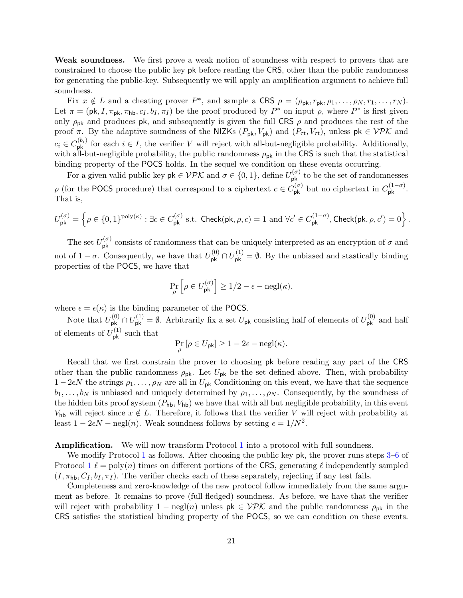Weak soundness. We first prove a weak notion of soundness with respect to provers that are constrained to choose the public key pk before reading the CRS, other than the public randomness for generating the public-key. Subsequently we will apply an amplification argument to achieve full soundness.

Fix  $x \notin L$  and a cheating prover  $P^*$ , and sample a CRS  $\rho = (\rho_{\rm pk}, r_{\rm pk}, \rho_1, \ldots, \rho_N, r_1, \ldots, r_N)$ . Let  $\pi = (\mathsf{pk}, I, \pi_{\mathsf{pk}}, \pi_{\mathsf{hb}}, c_I, b_I, \pi_I)$  be the proof produced by  $P^*$  on input  $\rho$ , where  $P^*$  is first given only  $\rho_{\rm pk}$  and produces pk, and subsequently is given the full CRS  $\rho$  and produces the rest of the proof  $\pi$ . By the adaptive soundness of the NIZKs  $(P_{\mathsf{pk}}, V_{\mathsf{pk}})$  and  $(P_{\mathsf{ct}}, V_{\mathsf{ct}})$ , unless  $\mathsf{pk} \in \mathcal{VPK}$  and  $c_i \in C_{\mathsf{pk}}^{(b_i)}$  for each  $i \in I$ , the verifier V will reject with all-but-negligible probability. Additionally, with all-but-negligible probability, the public randomness  $\rho_{pk}$  in the CRS is such that the statistical binding property of the POCS holds. In the sequel we condition on these events occurring.

For a given valid public key  $\mathsf{pk} \in \mathcal{VPK}$  and  $\sigma \in \{0,1\}$ , define  $U_{\mathsf{pk}}^{(\sigma)}$  to be the set of randomnesses  $\rho$  (for the POCS procedure) that correspond to a ciphertext  $c \in C_{\mathsf{pk}}^{(\sigma)}$  but no ciphertext in  $C_{\mathsf{pk}}^{(1-\sigma)}$ . That is,

$$
U_{\mathsf{pk}}^{(\sigma)} = \left\{ \rho \in \{0,1\}^{\text{poly}(\kappa)} : \exists c \in C_{\mathsf{pk}}^{(\sigma)} \text{ s.t. } \mathsf{Check}(\mathsf{pk}, \rho, c) = 1 \text{ and } \forall c' \in C_{\mathsf{pk}}^{(1-\sigma)}, \mathsf{Check}(\mathsf{pk}, \rho, c') = 0 \right\}.
$$

The set  $U_{\mathsf{pk}}^{(\sigma)}$  consists of randomness that can be uniquely interpreted as an encryption of  $\sigma$  and not of  $1-\sigma$ . Consequently, we have that  $U_{\mathsf{pk}}^{(0)} \cap U_{\mathsf{pk}}^{(1)} = \emptyset$ . By the unbiased and stastically binding properties of the POCS, we have that

$$
\Pr_{\rho} \left[ \rho \in U_{\mathsf{pk}}^{(\sigma)} \right] \ge 1/2 - \epsilon - \operatorname{negl}(\kappa),
$$

where  $\epsilon = \epsilon(\kappa)$  is the binding parameter of the POCS.

Note that  $U_{\mathsf{pk}}^{(0)} \cap U_{\mathsf{pk}}^{(1)} = \emptyset$ . Arbitrarily fix a set  $U_{\mathsf{pk}}$  consisting half of elements of  $U_{\mathsf{pk}}^{(0)}$  and half of elements of  $U_{\mathsf{pk}}^{(1)}$  such that

$$
\Pr_{\rho}[\rho \in U_{\mathsf{pk}}] \ge 1 - 2\epsilon - \operatorname{negl}(\kappa).
$$

Recall that we first constrain the prover to choosing pk before reading any part of the CRS other than the public randomness  $\rho_{\rm pk}$ . Let  $U_{\rm pk}$  be the set defined above. Then, with probability  $1-2\epsilon N$  the strings  $\rho_1,\ldots,\rho_N$  are all in  $U_{\rm pk}$  Conditioning on this event, we have that the sequence  $b_1, \ldots, b_N$  is unbiased and uniquely determined by  $\rho_1, \ldots, \rho_N$ . Consequently, by the soundness of the hidden bits proof system  $(P_{\text{hb}}, V_{\text{hb}})$  we have that with all but negligible probability, in this event V<sub>hb</sub> will reject since  $x \notin L$ . Therefore, it follows that the verifier V will reject with probability at least  $1 - 2\epsilon N - \text{negl}(n)$ . Weak soundness follows by setting  $\epsilon = 1/N^2$ .

Amplification. We will now transform Protocol [1](#page-17-1) into a protocol with full soundness.

We modify Protocol [1](#page-17-1) as follows. After choosing the public key pk, the prover runs steps [3](#page-18-2)[–6](#page-18-3) of Protocol  $1 \ell = \text{poly}(n)$  $1 \ell = \text{poly}(n)$  times on different portions of the CRS, generating  $\ell$  independently sampled  $(I, \pi_{\text{hb}}, C_I, b_I, \pi_I)$ . The verifier checks each of these separately, rejecting if any test fails.

Completeness and zero-knowledge of the new protocol follow immediately from the same argument as before. It remains to prove (full-fledged) soundness. As before, we have that the verifier will reject with probability 1 – negl(n) unless  $pk \in VPK$  and the public randomness  $\rho_{pk}$  in the CRS satisfies the statistical binding property of the POCS, so we can condition on these events.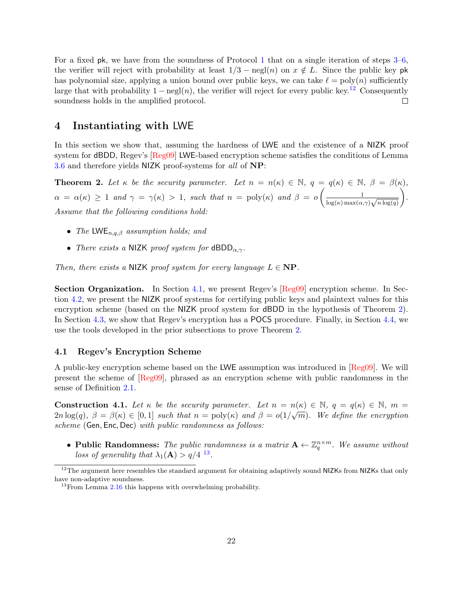For a fixed pk, we have from the soundness of Protocol [1](#page-17-1) that on a single iteration of steps [3–](#page-18-2)[6,](#page-18-3) the verifier will reject with probability at least  $1/3 - \text{negl}(n)$  on  $x \notin L$ . Since the public key pk has polynomial size, applying a union bound over public keys, we can take  $\ell = \text{poly}(n)$  sufficiently large that with probability  $1 - \text{negl}(n)$ , the verifier will reject for every public key.<sup>[12](#page-21-3)</sup> Consequently soundness holds in the amplified protocol.  $\Box$ 

# <span id="page-21-0"></span>4 Instantiating with LWE

In this section we show that, assuming the hardness of LWE and the existence of a NIZK proof system for dBDD, Regev's [\[Reg09\]](#page-33-0) LWE-based encryption scheme satisfies the conditions of Lemma [3.6](#page-17-2) and therefore yields NIZK proof-systems for all of NP:

<span id="page-21-2"></span>**Theorem 2.** Let  $\kappa$  be the security parameter. Let  $n = n(\kappa) \in \mathbb{N}$ ,  $q = q(\kappa) \in \mathbb{N}$ ,  $\beta = \beta(\kappa)$ ,  $\alpha = \alpha(\kappa) \geq 1$  and  $\gamma = \gamma(\kappa) > 1$ , such that  $n = \text{poly}(\kappa)$  and  $\beta = o\left(\frac{1}{1+(\kappa) \alpha} \right)$  $\frac{1}{\log(\kappa)\max(\alpha,\gamma)\sqrt{n\log(q)}}$  . Assume that the following conditions hold:

- The LWE<sub>n,a,β</sub> assumption holds; and
- There exists a NIZK proof system for  $dBDD_{\alpha,\gamma}$ .

Then, there exists a NIZK proof system for every language  $L \in \mathbf{NP}$ .

Section Organization. In Section [4.1,](#page-21-1) we present Regev's [\[Reg09\]](#page-33-0) encryption scheme. In Section [4.2,](#page-24-0) we present the NIZK proof systems for certifying public keys and plaintext values for this encryption scheme (based on the NIZK proof system for dBDD in the hypothesis of Theorem [2\)](#page-21-2). In Section [4.3,](#page-25-0) we show that Regev's encryption has a POCS procedure. Finally, in Section [4.4,](#page-30-0) we use the tools developed in the prior subsections to prove Theorem [2.](#page-21-2)

## <span id="page-21-1"></span>4.1 Regev's Encryption Scheme

A public-key encryption scheme based on the LWE assumption was introduced in [\[Reg09\]](#page-33-0). We will present the scheme of [\[Reg09\]](#page-33-0), phrased as an encryption scheme with public randomness in the sense of Definition [2.1.](#page-9-2)

<span id="page-21-5"></span>**Construction 4.1.** Let  $\kappa$  be the security parameter. Let  $n = n(\kappa) \in \mathbb{N}$ ,  $q = q(\kappa) \in \mathbb{N}$ ,  $m =$  $2n \log(q)$ ,  $\beta = \beta(\kappa) \in [0,1]$  such that  $n = \text{poly}(\kappa)$  and  $\beta = o(1/\sqrt{m})$ . We define the encryption scheme (Gen, Enc, Dec) with public randomness as follows:

• Public Randomness: The public randomness is a matrix  $\mathbf{A} \leftarrow \mathbb{Z}_q^{n \times m}$ . We assume without loss of generality that  $\lambda_1(\mathbf{A}) > q/4$  <sup>[13](#page-21-4)</sup>.

<span id="page-21-3"></span><sup>&</sup>lt;sup>12</sup>The argument here resembles the standard argument for obtaining adaptively sound NIZKs from NIZKs that only have non-adaptive soundness.

<span id="page-21-4"></span><sup>&</sup>lt;sup>13</sup>From Lemma [2.16](#page-13-1) this happens with overwhelming probability.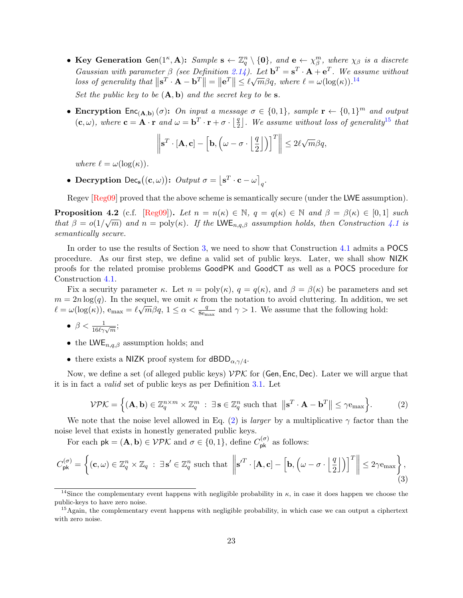- Key Generation Gen $(1^{\kappa}, \mathbf{A})$ : Sample  $\mathbf{s} \leftarrow \mathbb{Z}_q^n \setminus \{\mathbf{0}\}\$ , and  $\mathbf{e} \leftarrow \chi_{\beta}^m$ , where  $\chi_{\beta}$  is a discrete Gaussian with parameter  $\beta$  (see Definition [2.14\)](#page-13-2). Let  $\mathbf{b}^T = \mathbf{s}^T \cdot \mathbf{A} + \mathbf{e}^T$ . We assume without Gaussian with parameter  $p$  (see Definition 2.[14](#page-22-0)). Let  $\mathbf{b} = \mathbf{s} \cdot \mathbf{A} + \mathbf{e}$  . We as<br>loss of generality that  $\|\mathbf{s}^T \cdot \mathbf{A} - \mathbf{b}^T\| = \|\mathbf{e}^T\| \leq \ell \sqrt{m} \beta q$ , where  $\ell = \omega(\log(\kappa))$ .<sup>14</sup> Set the public key to be  $(A, b)$  and the secret key to be s.
- Encryption  $Enc_{(A,b)}(\sigma)$ : On input a message  $\sigma \in \{0,1\}$ , sample  $\mathbf{r} \leftarrow \{0,1\}^m$  and output  $(\mathbf{c}, \omega)$ , where  $\mathbf{c} = \mathbf{A} \cdot \mathbf{r}$  and  $\omega = \mathbf{b}^T \cdot \mathbf{r} + \sigma \cdot \left| \frac{q}{r} \right|$  $\frac{q}{2}$ ]. We assume without loss of generality<sup>[15](#page-22-1)</sup> that

$$
\left\|\mathbf{s}^T\cdot[\mathbf{A},\mathbf{c}]-\left[\mathbf{b},\left(\omega-\sigma\cdot\left\lfloor\frac{q}{2}\right\rfloor\right)\right]^T\right\|\leq 2\ell\sqrt{m}\beta q,
$$

where  $\ell = \omega(\log(\kappa)).$ 

• Decryption Dec<sub>s</sub>( $(c, \omega)$ ): Output  $\sigma = \lfloor s^T \cdot c - \omega \rfloor_q$ .

Regev [\[Reg09\]](#page-33-0) proved that the above scheme is semantically secure (under the LWE assumption).

**Proposition 4.2** (c.f. [\[Reg09\]](#page-33-0)). Let  $n = n(\kappa) \in \mathbb{N}$ ,  $q = q(\kappa) \in \mathbb{N}$  and  $\beta = \beta(\kappa) \in [0, 1]$  such that  $\beta = o(1/\sqrt{m})$  and  $n = \text{poly}(\kappa)$ . If the LWE<sub>n,q, $\beta$ </sub> assumption holds, then Construction [4.1](#page-21-5) is semantically secure.

In order to use the results of Section [3,](#page-13-0) we need to show that Construction [4.1](#page-21-5) admits a POCS procedure. As our first step, we define a valid set of public keys. Later, we shall show NIZK proofs for the related promise problems GoodPK and GoodCT as well as a POCS procedure for Construction [4.1.](#page-21-5)

Fix a security parameter  $\kappa$ . Let  $n = \text{poly}(\kappa)$ ,  $q = q(\kappa)$ , and  $\beta = \beta(\kappa)$  be parameters and set  $m = 2n \log(q)$ . In the sequel, we omit  $\kappa$  from the notation to avoid cluttering. In addition, we set  $m = 2n \log(q)$ . In the sequet, we omit  $\kappa$  from the hotation to avoid cluttering. In addition,  $\ell = \omega(\log(\kappa))$ ,  $e_{\max} = \ell \sqrt{m} \beta q$ ,  $1 \leq \alpha < \frac{q}{8e_{\max}}$  and  $\gamma > 1$ . We assume that the following hold:

• 
$$
\beta < \frac{1}{16\ell\gamma\sqrt{m}};
$$

- the LWE<sub>n,q, $\beta$ </sub> assumption holds; and
- there exists a NIZK proof system for  $dBDD_{\alpha,\gamma/4}$ .

Now, we define a set (of alleged public keys)  $V\mathcal{P}\mathcal{K}$  for (Gen, Enc, Dec). Later we will argue that it is in fact a valid set of public keys as per Definition [3.1.](#page-14-2) Let

<span id="page-22-2"></span>
$$
\mathcal{VPL} = \left\{ (\mathbf{A}, \mathbf{b}) \in \mathbb{Z}_q^{n \times m} \times \mathbb{Z}_q^m : \exists \, \mathbf{s} \in \mathbb{Z}_q^n \text{ such that } \left\| \mathbf{s}^T \cdot \mathbf{A} - \mathbf{b}^T \right\| \le \gamma \mathbf{e}_{\text{max}} \right\}. \tag{2}
$$

We note that the noise level allowed in Eq. [\(2\)](#page-22-2) is *larger* by a multiplicative  $\gamma$  factor than the noise level that exists in honestly generated public keys.

For each  $pk = (A, b) \in VPE$  and  $\sigma \in \{0, 1\}$ , define  $C_{pk}^{(\sigma)}$  as follows:

<span id="page-22-3"></span>
$$
C_{\mathsf{pk}}^{(\sigma)} = \left\{ (\mathbf{c}, \omega) \in \mathbb{Z}_q^n \times \mathbb{Z}_q \; : \; \exists \, \mathbf{s}' \in \mathbb{Z}_q^n \text{ such that } \left\| \mathbf{s}'^T \cdot [\mathbf{A}, \mathbf{c}] - \left[ \mathbf{b}, \left( \omega - \sigma \cdot \left\lfloor \frac{q}{2} \right\rfloor \right) \right]^T \right\| \leq 2\gamma \mathbf{e}_{\text{max}} \right\},\tag{3}
$$

<span id="page-22-0"></span><sup>&</sup>lt;sup>14</sup>Since the complementary event happens with negligible probability in  $\kappa$ , in case it does happen we choose the public-keys to have zero noise.

<span id="page-22-1"></span><sup>&</sup>lt;sup>15</sup>Again, the complementary event happens with negligible probability, in which case we can output a ciphertext with zero noise.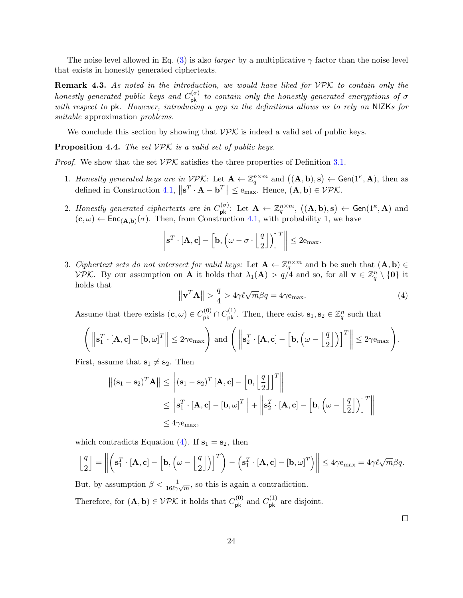The noise level allowed in Eq. [\(3\)](#page-22-3) is also *larger* by a multiplicative  $\gamma$  factor than the noise level that exists in honestly generated ciphertexts.

**Remark 4.3.** As noted in the introduction, we would have liked for  $VPK$  to contain only the honestly generated public keys and  $C_{\rm pk}^{(\sigma)}$  to contain only the honestly generated encryptions of  $\sigma$ with respect to pk. However, introducing a gap in the definitions allows us to rely on NIZKs for suitable approximation problems.

We conclude this section by showing that  $\mathcal{VPK}$  is indeed a valid set of public keys.

<span id="page-23-1"></span>**Proposition 4.4.** The set  $VPK$  is a valid set of public keys.

*Proof.* We show that the set  $VPK$  satisfies the three properties of Definition [3.1.](#page-14-2)

- 1. Honestly generated keys are in  $V\mathcal{P}\mathcal{K}$ : Let  $\mathbf{A} \leftarrow \mathbb{Z}_q^{n \times m}$  and  $((\mathbf{A}, \mathbf{b}), \mathbf{s}) \leftarrow \mathsf{Gen}(1^{\kappa}, \mathbf{A})$ , then as defined in Construction [4.1,](#page-21-5)  $\|\mathbf{s}^T \cdot \mathbf{A} - \mathbf{b}^T\| \leq e_{\text{max}}$ . Hence,  $(\mathbf{A}, \mathbf{b}) \in \mathcal{VPK}$ .
- 2. Honestly generated ciphertexts are in  $C_{\mathsf{pk}}^{(\sigma)}$ : Let  $\mathbf{A} \leftarrow \mathbb{Z}_q^{n \times m}$ ,  $((\mathbf{A}, \mathbf{b}), \mathbf{s}) \leftarrow \mathsf{Gen}(1^{\kappa}, \mathbf{A})$  and  $(c, \omega) \leftarrow \mathsf{Enc}_{(A, b)}(\sigma)$ . Then, from Construction [4.1,](#page-21-5) with probability 1, we have

$$
\left\|\mathbf{s}^T\cdot[\mathbf{A},\mathbf{c}]-\left[\mathbf{b},\left(\omega-\sigma\cdot\left\lfloor\frac{q}{2}\right\rfloor\right)\right]^T\right\|\leq 2e_{\text{max}}.
$$

3. Ciphertext sets do not intersect for valid keys: Let  $\mathbf{A} \leftarrow \mathbb{Z}_q^{n \times m}$  and b be such that  $(\mathbf{A}, \mathbf{b}) \in$ VPK. By our assumption on **A** it holds that  $\lambda_1(\mathbf{A}) > q/4$  and so, for all  $\mathbf{v} \in \mathbb{Z}_q^n \setminus \{\mathbf{0}\}\)$  it holds that

<span id="page-23-0"></span>
$$
\|\mathbf{v}^T\mathbf{A}\| > \frac{q}{4} > 4\gamma \ell \sqrt{m}\beta q = 4\gamma \mathbf{e}_{\text{max}}.\tag{4}
$$

Assume that there exists  $(c, \omega) \in C_{\rm pk}^{(0)} \cap C_{\rm pk}^{(1)}$ . Then, there exist  $s_1, s_2 \in \mathbb{Z}_q^n$  such that

$$
\left(\left\|\mathbf{s}_1^T\cdot[\mathbf{A},\mathbf{c}]-[\mathbf{b},\omega]^T\right\|\leq 2\gamma\mathbf{e}_{\text{max}}\right)\text{ and }\left(\left\|\mathbf{s}_2^T\cdot[\mathbf{A},\mathbf{c}]-\left[\mathbf{b},\left(\omega-\left\lfloor\frac{q}{2}\right\rfloor\right)\right]^T\right\|\leq 2\gamma\mathbf{e}_{\text{max}}\right).
$$

First, assume that  $s_1 \neq s_2$ . Then

$$
\|(\mathbf{s}_1 - \mathbf{s}_2)^T \mathbf{A}\| \le \left\| (\mathbf{s}_1 - \mathbf{s}_2)^T [\mathbf{A}, \mathbf{c}] - \left[ \mathbf{0}, \left[ \frac{q}{2} \right] \right]^T \right\|
$$
  
\n
$$
\le \left\| \mathbf{s}_1^T \cdot [\mathbf{A}, \mathbf{c}] - [\mathbf{b}, \omega]^T \right\| + \left\| \mathbf{s}_2^T \cdot [\mathbf{A}, \mathbf{c}] - \left[ \mathbf{b}, \left( \omega - \left[ \frac{q}{2} \right] \right) \right]^T \right\|
$$
  
\n
$$
\le 4\gamma e_{\text{max}},
$$

which contradicts Equation [\(4\)](#page-23-0). If  $s_1 = s_2$ , then

$$
\left\lfloor \frac{q}{2} \right\rfloor = \left\lVert \left( \mathbf{s}_1^T \cdot [\mathbf{A}, \mathbf{c}] - \left[ \mathbf{b}, \left( \omega - \left\lfloor \frac{q}{2} \right\rfloor \right) \right]^T \right) - \left( \mathbf{s}_1^T \cdot [\mathbf{A}, \mathbf{c}] - [\mathbf{b}, \omega]^T \right) \right\rVert \le 4\gamma \mathbf{e}_{\text{max}} = 4\gamma \ell \sqrt{m} \beta q.
$$

But, by assumption  $\beta < \frac{1}{16\ell\gamma\sqrt{m}}$ , so this is again a contradiction. Therefore, for  $(A, b) \in VPE$  it holds that  $C_{pk}^{(0)}$  and  $C_{pk}^{(1)}$  are disjoint.

 $\Box$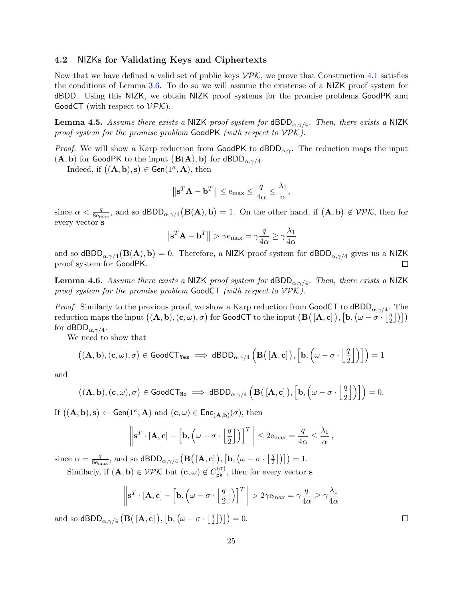# <span id="page-24-0"></span>4.2 NIZKs for Validating Keys and Ciphertexts

Now that we have defined a valid set of public keys  $\mathcal{VPL}$ , we prove that Construction [4.1](#page-21-5) satisfies the conditions of Lemma [3.6.](#page-17-2) To do so we will assume the existense of a NIZK proof system for dBDD. Using this NIZK, we obtain NIZK proof systems for the promise problems GoodPK and GoodCT (with respect to  $\mathcal{VPK}$ ).

<span id="page-24-1"></span>**Lemma 4.5.** Assume there exists a NIZK proof system for  $dBDD_{\alpha,\gamma/4}$ . Then, there exists a NIZK proof system for the promise problem GoodPK (with respect to  $VPK$ ).

*Proof.* We will show a Karp reduction from GoodPK to dBDD<sub> $\alpha$ ,γ</sub>. The reduction maps the input  $(\mathbf{A}, \mathbf{b})$  for GoodPK to the input  $(\mathbf{B}(\mathbf{A}), \mathbf{b})$  for dBDD<sub> $\alpha, \gamma/4$ </sub>.

Indeed, if  $((\mathbf{A}, \mathbf{b}), \mathbf{s}) \in \mathsf{Gen}(1^{\kappa}, \mathbf{A}), \text{ then}$ 

$$
\left\|\mathbf{s}^T\mathbf{A} - \mathbf{b}^T\right\| \leq e_{\text{max}} \leq \frac{q}{4\alpha} \leq \frac{\lambda_1}{\alpha},
$$

since  $\alpha < \frac{q}{8e_{\text{max}}}$ , and so  $\text{dBDD}_{\alpha,\gamma/4}(\textbf{B}(\textbf{A}),\textbf{b}) = 1$ . On the other hand, if  $(\textbf{A},\textbf{b}) \notin \mathcal{VPK}$ , then for every vector s

$$
\left\| \mathbf{s}^T \mathbf{A} - \mathbf{b}^T \right\| > \gamma \mathbf{e}_{\text{max}} = \gamma \frac{q}{4\alpha} \geq \gamma \frac{\lambda_1}{4\alpha}
$$

and so dBDD<sub> $\alpha, \gamma/4$ </sub>  $(B(A), b) = 0$ . Therefore, a NIZK proof system for dBDD $_{\alpha, \gamma/4}$  gives us a NIZK proof system for GoodPK. □

<span id="page-24-2"></span>**Lemma 4.6.** Assume there exists a NIZK proof system for  $dBDD_{\alpha,\gamma/4}$ . Then, there exists a NIZK proof system for the promise problem GoodCT (with respect to VPK).

*Proof.* Similarly to the previous proof, we show a Karp reduction from GoodCT to dBDD<sub> $\alpha$ , $\gamma$ /4. The</sub> reduction maps the input  $((\mathbf{A}, \mathbf{b}), (\mathbf{c}, \omega), \sigma)$  for GoodCT to the input  $(\mathbf{B}([\mathbf{A}, \mathbf{c}]), [\mathbf{b}, (\omega - \sigma \cdot ||_2^2))$  $\binom{q}{2}$ ))) for dBDD $_{\alpha,\gamma/4}.$ 

We need to show that

$$
\big((\mathbf{A},\mathbf{b}),( \mathbf{c},\omega),\sigma\big) \in \text{GoodCT}_{\text{Yes}} \implies \text{dBDD}_{\alpha,\gamma/4}\left(\mathbf{B}\big(\left[\mathbf{A},\mathbf{c}\right]\big),\left[\mathbf{b},\left(\omega-\sigma\cdot\left\lfloor\frac{q}{2}\right\rfloor\right)\right]\right)=1
$$

and

$$
\left( (\mathbf{A},\mathbf{b}), (\mathbf{c},\omega), \sigma \right) \in \text{GoodCT}_{\mathtt{No}} \implies \text{dBDD}_{\alpha, \gamma/4} \left( \mathbf{B} \big( \left[ \mathbf{A}, \mathbf{c} \right] \big), \left[ \mathbf{b}, \left( \omega - \sigma \cdot \left\lfloor \frac{q}{2} \right\rfloor \right) \right] \right) = 0.
$$

If  $((\mathbf{A}, \mathbf{b}), \mathbf{s}) \leftarrow \mathsf{Gen}(1^{\kappa}, \mathbf{A})$  and  $(\mathbf{c}, \omega) \in \mathsf{Enc}_{(\mathbf{A}, \mathbf{b})}(\sigma)$ , then

$$
\left\|\mathbf{s}^T\cdot[\mathbf{A},\mathbf{c}]-\left[\mathbf{b},\left(\omega-\sigma\cdot\left\lfloor\frac{q}{2}\right\rfloor\right)\right]^T\right\|\leq 2\mathbf{e}_{\text{max}}=\frac{q}{4\alpha}\leq \frac{\lambda_1}{\alpha},
$$

since  $\alpha = \frac{q}{8a}$  $\frac{q}{8 \rm{e_{max}}}$ , and so dBDD $_{\alpha,\gamma/4}$   $\left(\rm{B}(\,[A,c]\,), [\rm{b}, \left(\omega-\sigma\cdot\right[\frac{q}{2})\,]$  $\binom{q}{2}$ )  $\big]$  = 1.

Similarly, if  $(A, b) \in \mathcal{VPL}$  but  $(c, \omega) \notin C_{\mathsf{pk}}^{(\sigma)}$ , then for every vector s

$$
\left\|\mathbf{s}^T \cdot [\mathbf{A}, \mathbf{c}] - \left[\mathbf{b}, \left(\omega - \sigma \cdot \left\lfloor \frac{q}{2} \right\rfloor\right) \right]^T \right\| > 2\gamma \mathbf{e}_{\text{max}} = \gamma \frac{q}{4\alpha} \ge \gamma \frac{\lambda_1}{4\alpha}
$$

and so dBDD<sub> $\alpha$ , $\gamma$ /4</sub> (**B**([**A**, **c**]), [**b**, ( $\omega - \sigma \cdot \frac{1}{2}$  $\left[\frac{q}{2}\right]\big)\big]\big) = 0.$ 

 $\Box$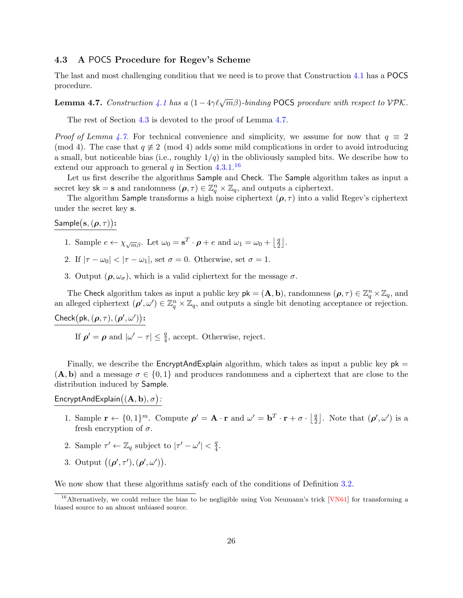# <span id="page-25-0"></span>4.3 A POCS Procedure for Regev's Scheme

The last and most challenging condition that we need is to prove that Construction [4.1](#page-21-5) has a POCS procedure.

<span id="page-25-1"></span>**Lemma 4.7.** Construction [4.1](#page-21-5) has a  $(1-4\gamma\ell\sqrt{m}\beta)$ -binding POCS procedure with respect to VPK.

The rest of Section [4.3](#page-25-0) is devoted to the proof of Lemma [4.7.](#page-25-1)

*Proof of Lemma [4.7.](#page-25-1)* For technical convenience and simplicity, we assume for now that  $q \equiv 2$ (mod 4). The case that  $q \neq 2 \pmod{4}$  adds some mild complications in order to avoid introducing a small, but noticeable bias (i.e., roughly  $1/q$ ) in the obliviously sampled bits. We describe how to extend our approach to general  $q$  in Section [4.3.1.](#page-29-0)<sup>[16](#page-25-2)</sup>

Let us first describe the algorithms Sample and Check. The Sample algorithm takes as input a secret key  $sk = s$  and randomness  $(\rho, \tau) \in \mathbb{Z}_q^n \times \mathbb{Z}_q$ , and outputs a ciphertext.

The algorithm Sample transforms a high noise ciphertext  $(\rho, \tau)$  into a valid Regev's ciphertext under the secret key s.

 $\mathsf{Sample}(\mathbf{s},(\boldsymbol{\rho},\tau))$ :

- 1. Sample  $e \leftarrow \chi_{\sqrt{m}\beta}$ . Let  $\omega_0 = \mathbf{s}^T \cdot \boldsymbol{\rho} + e$  and  $\omega_1 = \omega_0 + \left\lfloor \frac{q}{2} \right\rfloor$  $\frac{q}{2}$ .
- 2. If  $|\tau \omega_0| < |\tau \omega_1|$ , set  $\sigma = 0$ . Otherwise, set  $\sigma = 1$ .
- 3. Output  $(\rho, \omega_{\sigma})$ , which is a valid ciphertext for the message  $\sigma$ .

The Check algorithm takes as input a public key  $pk = (A, b)$ , randomness  $(\rho, \tau) \in \mathbb{Z}_q^n \times \mathbb{Z}_q$ , and an alleged ciphertext  $(\rho', \omega') \in \mathbb{Z}_q^n \times \mathbb{Z}_q$ , and outputs a single bit denoting acceptance or rejection. Check $(\mathsf{pk},(\boldsymbol{\rho},\tau),(\boldsymbol{\rho}',\omega'))$ :

If  $\rho' = \rho$  and  $|\omega' - \tau| \leq \frac{q}{4}$ , accept. Otherwise, reject.

Finally, we describe the EncryptAndExplain algorithm, which takes as input a public key  $pk =$  $(A, b)$  and a message  $\sigma \in \{0, 1\}$  and produces randomness and a ciphertext that are close to the distribution induced by Sample.

EncryptAndExplain $((\mathbf{A}, \mathbf{b}), \sigma)$ :

- 1. Sample  $\mathbf{r} \leftarrow \{0,1\}^m$ . Compute  $\rho' = \mathbf{A} \cdot \mathbf{r}$  and  $\omega' = \mathbf{b}^T \cdot \mathbf{r} + \sigma \cdot \left| \frac{\partial \mathbf{a}}{\partial \mathbf{r}} \right|$  $\left[\frac{q}{2}\right]$ . Note that  $(\boldsymbol{\rho}', \omega')$  is a fresh encryption of  $\sigma$ .
- 2. Sample  $\tau' \leftarrow \mathbb{Z}_q$  subject to  $|\tau' \omega'| < \frac{q}{4}$  $\frac{q}{4}.$
- 3. Output  $((\rho', \tau'), (\rho', \omega')).$

We now show that these algorithms satisfy each of the conditions of Definition [3.2.](#page-15-0)

<span id="page-25-2"></span><sup>&</sup>lt;sup>16</sup>Alternatively, we could reduce the bias to be negligible using Von Neumann's trick  $[VN61]$  for transforming a biased source to an almost unbiased source.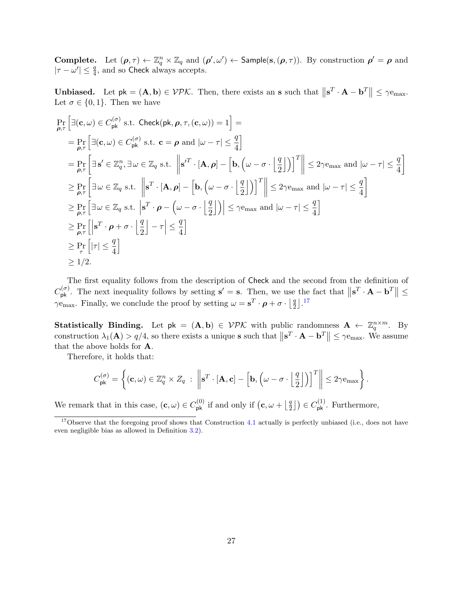**Complete.** Let  $(\rho, \tau) \leftarrow \mathbb{Z}_q^n \times \mathbb{Z}_q$  and  $(\rho', \omega') \leftarrow$  Sample(s,  $(\rho, \tau)$ ). By construction  $\rho' = \rho$  and  $|\tau - \omega'| \leq \frac{q}{4}$ , and so Check always accepts.

**Unbiased.** Let  $pk = (A, b) \in VPK$ . Then, there exists an **s** such that  $||\mathbf{s}^T \cdot \mathbf{A} - \mathbf{b}^T|| \le \gamma e_{\text{max}}$ . Let  $\sigma \in \{0,1\}$ . Then we have

$$
\Pr_{\rho,\tau} \left[ \exists (\mathbf{c}, \omega) \in C_{\mathsf{pk}}^{(\sigma)} \text{ s.t. } \text{Check}(\mathsf{pk}, \rho, \tau, (\mathbf{c}, \omega)) = 1 \right] =
$$
\n
$$
= \Pr_{\rho,\tau} \left[ \exists (\mathbf{c}, \omega) \in C_{\mathsf{pk}}^{(\sigma)} \text{ s.t. } \mathbf{c} = \rho \text{ and } |\omega - \tau| \le \frac{q}{4} \right]
$$
\n
$$
= \Pr_{\rho,\tau} \left[ \exists \mathbf{s}' \in \mathbb{Z}_q^n, \exists \omega \in \mathbb{Z}_q \text{ s.t. } \left\| \mathbf{s}'^T \cdot [\mathbf{A}, \rho] - \left[ \mathbf{b}, \left( \omega - \sigma \cdot \frac{q}{2} \right] \right] \right]^T \right\| \le 2\gamma \mathbf{e}_{\text{max}} \text{ and } |\omega - \tau| \le \frac{q}{4} \right]
$$
\n
$$
\ge \Pr_{\rho,\tau} \left[ \exists \omega \in \mathbb{Z}_q \text{ s.t. } \left\| \mathbf{s}^T \cdot [\mathbf{A}, \rho] - \left[ \mathbf{b}, \left( \omega - \sigma \cdot \frac{q}{2} \right] \right] \right]^T \right\| \le 2\gamma \mathbf{e}_{\text{max}} \text{ and } |\omega - \tau| \le \frac{q}{4} \right]
$$
\n
$$
\ge \Pr_{\rho,\tau} \left[ \exists \omega \in \mathbb{Z}_q \text{ s.t. } \left| \mathbf{s}^T \cdot \rho - \left( \omega - \sigma \cdot \frac{q}{2} \right] \right) \right| \le \gamma \mathbf{e}_{\text{max}} \text{ and } |\omega - \tau| \le \frac{q}{4} \right]
$$
\n
$$
\ge \Pr_{\rho,\tau} \left[ \left| \mathbf{s}^T \cdot \rho + \sigma \cdot \frac{q}{2} \right] - \tau \right| \le \frac{q}{4} \right]
$$
\n
$$
\ge \Pr_{\tau} \left[ |\tau| \le \frac{q}{4} \right]
$$
\n
$$
\ge 1/2.
$$

The first equality follows from the description of Check and the second from the definition of  $C_{\mathsf{pk}}^{(\sigma)}$ . The next inequality follows by setting  $\mathbf{s}' = \mathbf{s}$ . Then, we use the fact that  $\|\mathbf{s}^T \cdot \mathbf{A} - \mathbf{b}^T\| \leq$  $\gamma_{\text{max}}$ . Finally, we conclude the proof by setting  $\omega = \mathbf{s}^T \cdot \boldsymbol{\rho} + \sigma \cdot \left| \frac{q}{2} \right|$  $\frac{q}{2}$ ].<sup>[17](#page-26-0)</sup>

Statistically Binding. Let  $pk = (A, b) \in VPK$  with public randomness  $A \leftarrow \mathbb{Z}_q^{n \times m}$ . By construction  $\lambda_1(\mathbf{A}) > q/4$ , so there exists a unique **s** such that  $\|\mathbf{s}^T \cdot \mathbf{A} - \mathbf{b}^T\| \le \gamma e_{\text{max}}$ . We assume that the above holds for A.

Therefore, it holds that:

$$
C_{\mathsf{pk}}^{(\sigma)} = \left\{ (\mathbf{c}, \omega) \in \mathbb{Z}_q^n \times Z_q \; : \; \left\| \mathbf{s}^T \cdot [\mathbf{A}, \mathbf{c}] - \left[ \mathbf{b}, \left( \omega - \sigma \cdot \left\lfloor \frac{q}{2} \right\rfloor \right) \right]^T \right\| \leq 2\gamma e_{\max} \right\}.
$$

We remark that in this case,  $(c, \omega) \in C_{\mathsf{pk}}^{(0)}$  if and only if  $(c, \omega + \lceil \frac{q}{2} \rceil)$  $\left(\frac{q}{2}\right]$   $\in C_{\mathsf{pk}}^{(1)}$ . Furthermore,

<span id="page-26-0"></span> $17$ Observe that the foregoing proof shows that Construction [4.1](#page-21-5) actually is perfectly unbiased (i.e., does not have even negligible bias as allowed in Definition [3.2\)](#page-15-0).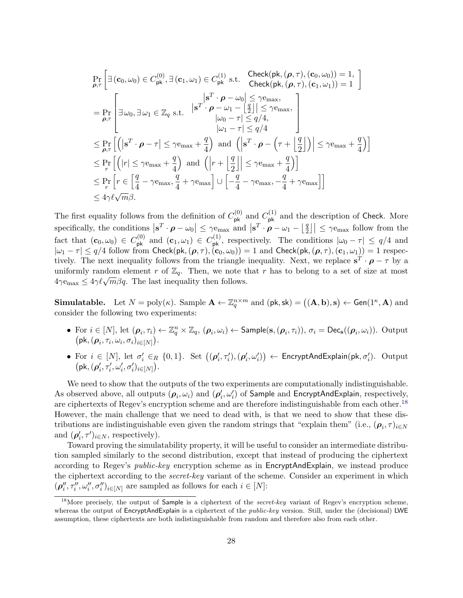$$
\Pr_{\rho,\tau} \left[ \exists (\mathbf{c}_0, \omega_0) \in C_{\mathsf{pk}}^{(0)}, \exists (\mathbf{c}_1, \omega_1) \in C_{\mathsf{pk}}^{(1)} \text{ s.t. } \operatorname{Check}(\mathsf{pk}, (\rho, \tau), (\mathbf{c}_0, \omega_0)) = 1, \\ \operatorname{Check}(\mathsf{pk}, (\rho, \tau), (\mathbf{c}_1, \omega_1)) = 1 \right]
$$
\n
$$
= \Pr_{\rho,\tau} \left[ \exists \omega_0, \exists \omega_1 \in \mathbb{Z}_q \text{ s.t. } \begin{vmatrix} \mathbf{s}^T \cdot \rho - \omega_0 & \le \gamma \mathbf{e}_{\text{max}}, \\ \mathbf{s}^T \cdot \rho - \omega_1 - \left[ \frac{q}{2} \right] & \le \gamma \mathbf{e}_{\text{max}}, \\ \omega_0 - \tau & \le q/4, \\ \omega_1 - \tau & \le q/4 \end{vmatrix} \right]
$$
\n
$$
\leq \Pr_{\rho,\tau} \left[ \left( |\mathbf{s}^T \cdot \rho - \tau| \le \gamma \mathbf{e}_{\text{max}} + \frac{q}{4} \right) \text{ and } \left( |\mathbf{s}^T \cdot \rho - \left( \tau + \left[ \frac{q}{2} \right] \right) | \le \gamma \mathbf{e}_{\text{max}} + \frac{q}{4} \right) \right]
$$
\n
$$
\leq \Pr_{\tau} \left[ \left( |r| \le \gamma \mathbf{e}_{\text{max}} + \frac{q}{4} \right) \text{ and } \left( |r + \left[ \frac{q}{2} \right] | \le \gamma \mathbf{e}_{\text{max}} + \frac{q}{4} \right) \right]
$$
\n
$$
\leq \Pr_{\tau} \left[ r \in \left[ \frac{q}{4} - \gamma \mathbf{e}_{\text{max}}, \frac{q}{4} + \gamma \mathbf{e}_{\text{max}} \right] \cup \left[ -\frac{q}{4} - \gamma \mathbf{e}_{\text{max}}, -\frac{q}{4} + \gamma \mathbf{e}_{\text{max}} \right] \right]
$$
\n
$$
\leq 4\gamma \ell \sqrt{m}\beta.
$$

The first equality follows from the definition of  $C_{\mathsf{pk}}^{(0)}$  and  $C_{\mathsf{pk}}^{(1)}$  and the description of Check. More specifically, the conditions  $|\mathbf{s}^T \cdot \boldsymbol{\rho} - \omega_0| \leq \gamma \mathbf{e}_{\text{max}}$  and  $|\mathbf{s}^T \cdot \boldsymbol{\rho} - \omega_1 - \lfloor \frac{q}{2} \rfloor$  $\left| \frac{q}{2} \right| \leq \gamma \mathbf{e}_{\text{max}}$  follow from the fact that  $(c_0, \omega_0) \in C_{\text{pk}}^{(0)}$  and  $(c_1, \omega_1) \in C_{\text{pk}}^{(1)}$ , respectively. The conditions  $|\omega_0 - \tau| \leq q/4$  and  $|\omega_1 - \tau| \le q/4$  follow from Check(pk,  $(\boldsymbol{\rho}, \tau)$ ,  $(\mathbf{c}_0, \omega_0)$ ) = 1 and Check(pk,  $(\boldsymbol{\rho}, \tau)$ ,  $(\mathbf{c}_1, \omega_1)$ ) = 1 respectively. The next inequality follows from the triangle inequality. Next, we replace  $\mathbf{s}^T \cdot \boldsymbol{\rho} - \tau$  by a uniformly random element r of  $\mathbb{Z}_q$ . Then, we note that r has to belong to a set of size at most  $4\gamma e_{\text{max}} \leq 4\gamma \ell \sqrt{m}\beta q$ . The last inequality then follows.

**Simulatable.** Let  $N = \text{poly}(\kappa)$ . Sample  $\mathbf{A} \leftarrow \mathbb{Z}_q^{n \times m}$  and  $(\mathsf{pk}, \mathsf{sk}) = ((\mathbf{A}, \mathbf{b}), \mathbf{s}) \leftarrow \text{Gen}(1^{\kappa}, \mathbf{A})$  and consider the following two experiments:

- For  $i \in [N]$ , let  $(\boldsymbol{\rho}_i, \tau_i) \leftarrow \mathbb{Z}_q^n \times \mathbb{Z}_q$ ,  $(\boldsymbol{\rho}_i, \omega_i) \leftarrow$  Sample $(\mathbf{s}, (\boldsymbol{\rho}_i, \tau_i))$ ,  $\sigma_i = \mathsf{Dec}_\mathbf{s}((\boldsymbol{\rho}_i, \omega_i))$ . Output  $(\mathsf{pk},(\boldsymbol{\rho}_i,\tau_i,\omega_i,\sigma_i)_{i\in[N]})$ .
- For  $i \in [N]$ , let  $\sigma'_i \in_R \{0,1\}$ . Set  $((\boldsymbol{\rho}'_i, \tau'_i), (\boldsymbol{\rho}'_i, \omega'_i)) \leftarrow$  EncryptAndExplain $(\mathsf{pk}, \sigma'_i)$ . Output  $\left(\mathsf{pk}, (\pmb{\rho}'_i, \tau'_i, \omega'_i, \sigma'_i)_{i \in [N]}\right)$  .

We need to show that the outputs of the two experiments are computationally indistinguishable. As observed above, all outputs  $(\bm{\rho}_i, \omega_i)$  and  $(\bm{\rho}'_i, \omega'_i)$  of Sample and EncryptAndExplain, respectively, are ciphertexts of Regev's encryption scheme and are therefore indistinguishable from each other.[18](#page-27-0) However, the main challenge that we need to dead with, is that we need to show that these distributions are indistinguishable even given the random strings that "explain them" (i.e.,  $(\rho_i, \tau)_{i \in N}$ and  $(\boldsymbol{\rho}'_i, \tau')_{i \in N}$ , respectively).

Toward proving the simulatability property, it will be useful to consider an intermediate distribution sampled similarly to the second distribution, except that instead of producing the ciphertext according to Regev's *public-key* encryption scheme as in **EncryptAndExplain**, we instead produce the ciphertext according to the secret-key variant of the scheme. Consider an experiment in which  $(\boldsymbol{\rho}''_i, \tau''_i, \omega''_i, \sigma''_i)_{i \in [N]}$  are sampled as follows for each  $i \in [N]$ :

<span id="page-27-0"></span><sup>&</sup>lt;sup>18</sup>More precisely, the output of Sample is a ciphertext of the *secret-key* variant of Regev's encryption scheme, whereas the output of EncryptAndExplain is a ciphertext of the *public-key* version. Still, under the (decisional) LWE assumption, these ciphertexts are both indistinguishable from random and therefore also from each other.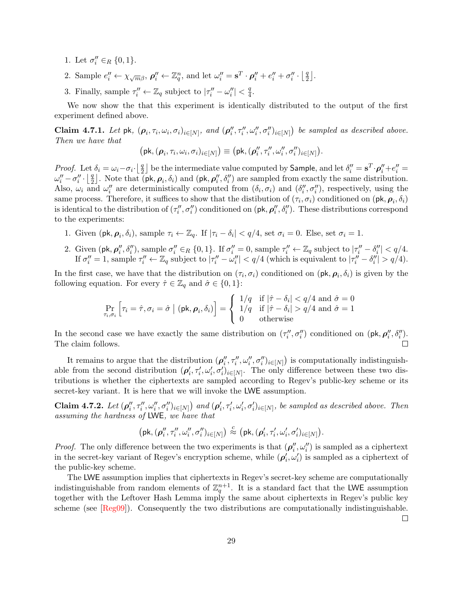- 1. Let  $\sigma''_i \in_R \{0, 1\}$ .
- 2. Sample  $e_i'' \leftarrow \chi_{\sqrt{m}\beta}, \, \rho_i'' \leftarrow \mathbb{Z}_q^n$ , and let  $\omega_i'' = \mathbf{s}^T \cdot \rho_i'' + e_i'' + \sigma_i'' \cdot \left[ \frac{q}{2} \right]$  $\frac{q}{2}$ .
- 3. Finally, sample  $\tau''_i \leftarrow \mathbb{Z}_q$  subject to  $|\tau''_i \omega''_i| < \frac{q}{4}$  $\frac{q}{4}$ .

We now show the that this experiment is identically distributed to the output of the first experiment defined above.

Claim 4.7.1. Let pk,  $(\rho_i, \tau_i, \omega_i, \sigma_i)_{i \in [N]}$ , and  $(\rho''_i, \tau''_i, \omega''_i, \sigma''_i)_{i \in [N]}$  be sampled as described above. Then we have that

$$
\big(\mathsf{pk},(\boldsymbol{\rho}_i,\tau_i,\omega_i,\sigma_i)_{i\in[N]}\big) \equiv \big(\mathsf{pk},(\boldsymbol{\rho}''_i,\tau''_i,\omega''_i,\sigma''_i)_{i\in[N]}\big).
$$

Proof. Let  $\delta_i = \omega_i - \sigma_i \cdot \left| \frac{q}{2} \right|$  $\frac{q}{2}$ ] be the intermediate value computed by **Sample**, and let  $\delta''_i = \mathbf{s}^T \cdot \boldsymbol{\rho}''_i + e''_i = 0$  $\omega''_i - \sigma''_i \cdot \left\lfloor \frac{q}{2} \right\rfloor$  $\frac{q}{2}$ . Note that  $\overline{(\mathsf{pk}, \mathsf{p}_i, \delta_i)}$  and  $(\mathsf{pk}, \mathsf{p}_i'', \delta_i'')$  are sampled from exactly the same distribution. Also,  $\omega_i$  and  $\omega''_i$  are deterministically computed from  $(\delta_i, \sigma_i)$  and  $(\delta''_i, \sigma''_i)$ , respectively, using the same process. Therefore, it suffices to show that the distibution of  $(\tau_i, \sigma_i)$  conditioned on  $(\mathsf{pk}, \rho_i, \delta_i)$ is identical to the distribution of  $(\tau''_i, \sigma''_i)$  conditioned on  $(\mathsf{pk}, \rho''_i, \delta''_i)$ . These distributions correspond to the experiments:

- 1. Given  $(\mathsf{pk}, \rho_i, \delta_i)$ , sample  $\tau_i \leftarrow \mathbb{Z}_q$ . If  $|\tau_i \delta_i| < q/4$ , set  $\sigma_i = 0$ . Else, set  $\sigma_i = 1$ .
- 2. Given  $(\mathsf{pk}, \rho''_i, \delta''_i)$ , sample  $\sigma''_i \in_R \{0, 1\}$ . If  $\sigma''_i = 0$ , sample  $\tau''_i \leftarrow \mathbb{Z}_q$  subject to  $|\tau''_i \delta''_i| < q/4$ . If  $\sigma''_i = 1$ , sample  $\tau''_i \leftarrow \mathbb{Z}_q$  subject to  $|\tau''_i - \omega''_i| < q/4$  (which is equivalent to  $|\tau''_i - \delta''_i| > q/4$ ).

In the first case, we have that the distribution on  $(\tau_i, \sigma_i)$  conditioned on  $(\mathsf{pk}, \rho_i, \delta_i)$  is given by the following equation. For every  $\hat{\tau} \in \mathbb{Z}_q$  and  $\hat{\sigma} \in \{0,1\}$ :

$$
\Pr_{\tau_i, \sigma_i} \left[ \tau_i = \hat{\tau}, \sigma_i = \hat{\sigma} \mid (\mathsf{pk}, \boldsymbol{\rho}_i, \delta_i) \right] = \begin{cases} 1/q & \text{if } |\hat{\tau} - \delta_i| < q/4 \text{ and } \hat{\sigma} = 0 \\ 1/q & \text{if } |\hat{\tau} - \delta_i| > q/4 \text{ and } \hat{\sigma} = 1 \\ 0 & \text{otherwise} \end{cases}
$$

In the second case we have exactly the same distribution on  $(\tau''_i, \sigma''_i)$  conditioned on  $(\mathsf{pk}, \rho''_i, \delta''_i)$ . The claim follows.

It remains to argue that the distribution  $(\rho''_i, \tau''_i, \omega''_i, \sigma''_i)_{i \in [N]}$  is computationally indistinguishable from the second distribution  $(\rho'_i, \tau'_i, \omega'_i, \sigma'_i)_{i \in [N]}$ . The only difference between these two distributions is whether the ciphertexts are sampled according to Regev's public-key scheme or its secret-key variant. It is here that we will invoke the LWE assumption.

**Claim 4.7.2.** Let  $(\boldsymbol{\rho}_i'', \tau_i'', \omega_i'', \sigma_i'')_{i \in [N]}$  and  $(\boldsymbol{\rho}_i', \tau_i', \omega_i', \sigma_i')_{i \in [N]}$ , be sampled as described above. Then assuming the hardness of LWE, we have that

$$
\left(\mathsf{pk}, (\pmb{\rho}''_i, \tau''_i, \omega''_i, \sigma''_i)_{i \in [N]}\right) \stackrel{c}{\approx} \left(\mathsf{pk}, (\pmb{\rho}'_i, \tau'_i, \omega'_i, \sigma'_i)_{i \in [N]}\right)\!.
$$

*Proof.* The only difference between the two experiments is that  $(\rho''_i, \omega''_i)$  is sampled as a ciphertext in the secret-key variant of Regev's encryption scheme, while  $(\rho'_i, \omega'_i)$  is sampled as a ciphertext of the public-key scheme.

The LWE assumption implies that ciphertexts in Regev's secret-key scheme are computationally indistinguishable from random elements of  $\mathbb{Z}_q^{n+1}$ . It is a standard fact that the LWE assumption together with the Leftover Hash Lemma imply the same about ciphertexts in Regev's public key scheme (see [\[Reg09\]](#page-33-0)). Consequently the two distributions are computationally indistinguishable.

 $\Box$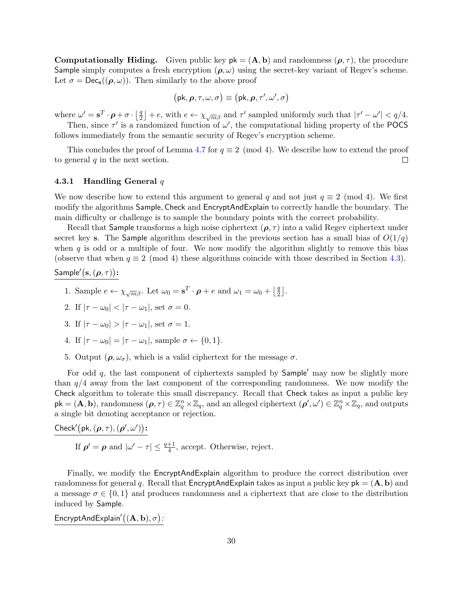**Computationally Hiding.** Given public key  $pk = (A, b)$  and randomness  $(\rho, \tau)$ , the procedure Sample simply computes a fresh encryption  $(\rho, \omega)$  using the secret-key variant of Regev's scheme. Let  $\sigma = \text{Dec}_{s}((\rho, \omega))$ . Then similarly to the above proof

$$
(\mathsf{pk}, \boldsymbol{\rho}, \tau, \omega, \sigma) \equiv (\mathsf{pk}, \boldsymbol{\rho}, \tau', \omega', \sigma)
$$

where  $\omega' = \mathbf{s}^T \cdot \boldsymbol{\rho} + \sigma \cdot \left| \frac{q}{2} \right|$  $\frac{q}{2}$  + e, with  $e \leftarrow \chi_{\sqrt{m}\beta}$  and  $\tau'$  sampled uniformly such that  $|\tau' - \omega'| < q/4$ . Then, since  $\tau'$  is a randomized function of  $\omega'$ , the computational hiding property of the POCS

follows immediately from the semantic security of Regev's encryption scheme.

This concludes the proof of Lemma [4.7](#page-25-1) for  $q \equiv 2 \pmod{4}$ . We describe how to extend the proof to general  $q$  in the next section.  $\Box$ 

#### <span id="page-29-0"></span>4.3.1 Handling General  $q$

We now describe how to extend this argument to general q and not just  $q \equiv 2 \pmod{4}$ . We first modify the algorithms Sample, Check and EncryptAndExplain to correctly handle the boundary. The main difficulty or challenge is to sample the boundary points with the correct probability.

Recall that Sample transforms a high noise ciphertext ( $\rho$ ,  $\tau$ ) into a valid Regev ciphertext under secret key s. The Sample algorithm described in the previous section has a small bias of  $O(1/q)$ when  $q$  is odd or a multiple of four. We now modify the algorithm slightly to remove this bias (observe that when  $q \equiv 2 \pmod{4}$  these algorithms coincide with those described in Section [4.3\)](#page-25-0).

# Sample'(s,  $(\boldsymbol{\rho}, \tau)$ ):

- 1. Sample  $e \leftarrow \chi_{\sqrt{m}\beta}$ . Let  $\omega_0 = \mathbf{s}^T \cdot \boldsymbol{\rho} + e$  and  $\omega_1 = \omega_0 + \left\lfloor \frac{q}{2} \right\rfloor$  $\frac{q}{2}$ .
- 2. If  $|\tau \omega_0| < |\tau \omega_1|$ , set  $\sigma = 0$ .
- 3. If  $|\tau \omega_0| > |\tau \omega_1|$ , set  $\sigma = 1$ .
- 4. If  $|\tau \omega_0| = |\tau \omega_1|$ , sample  $\sigma \leftarrow \{0, 1\}$ .
- 5. Output  $(\rho, \omega_{\sigma})$ , which is a valid ciphertext for the message  $\sigma$ .

For odd  $q$ , the last component of ciphertexts sampled by  $Sample'$  may now be slightly more than  $q/4$  away from the last component of the corresponding randomness. We now modify the Check algorithm to tolerate this small discrepancy. Recall that Check takes as input a public key  $\mathsf{pk} = (\mathbf{A}, \mathbf{b})$ , randomness  $(\boldsymbol{\rho}, \tau) \in \mathbb{Z}_q^n \times \mathbb{Z}_q$ , and an alleged ciphertext  $(\boldsymbol{\rho}', \omega') \in \mathbb{Z}_q^n \times \mathbb{Z}_q$ , and outputs a single bit denoting acceptance or rejection.

Check'(pk,  $(\boldsymbol{\rho}, \tau), (\boldsymbol{\rho}', \omega')$ ):

If  $\rho' = \rho$  and  $|\omega' - \tau| \leq \frac{q+1}{4}$ , accept. Otherwise, reject.

Finally, we modify the EncryptAndExplain algorithm to produce the correct distribution over randomness for general q. Recall that  $\mathsf{EncryptAndExplain}$  takes as input a public key  $pk = (\mathbf{A}, \mathbf{b})$  and a message  $\sigma \in \{0,1\}$  and produces randomness and a ciphertext that are close to the distribution induced by Sample.

EncryptAndExplain' $((\mathbf{A}, \mathbf{b}), \sigma)$ :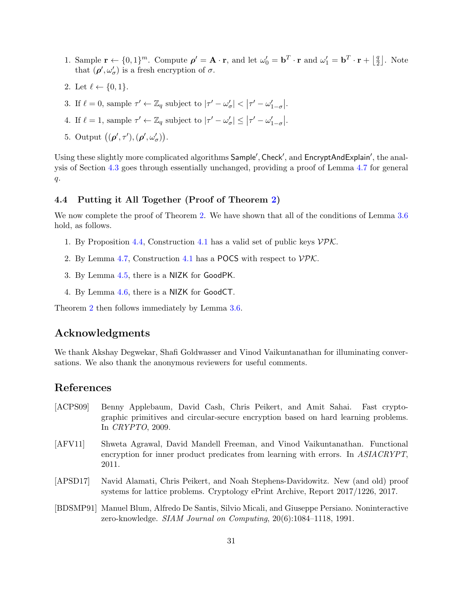- 1. Sample  $\mathbf{r} \leftarrow \{0,1\}^m$ . Compute  $\rho' = \mathbf{A} \cdot \mathbf{r}$ , and let  $\omega'_0 = \mathbf{b}^T \cdot \mathbf{r}$  and  $\omega'_1 = \mathbf{b}^T \cdot \mathbf{r} + \lfloor \frac{q}{2} \rfloor$  $\frac{q}{2}$ . Note that  $(\rho', \omega'_\sigma)$  is a fresh encryption of  $\sigma$ .
- 2. Let  $\ell \leftarrow \{0, 1\}.$
- 3. If  $\ell = 0$ , sample  $\tau' \leftarrow \mathbb{Z}_q$  subject to  $|\tau' \omega'_{\sigma}| < |\tau' \omega'_{1-\sigma}|$ .
- 4. If  $\ell = 1$ , sample  $\tau' \leftarrow \mathbb{Z}_q$  subject to  $|\tau' \omega'_{\sigma}| \leq |\tau' \omega'_{1-\sigma}|$ .
- 5. Output  $((\boldsymbol{\rho}', \tau'), (\boldsymbol{\rho}', \omega'_{\sigma})).$

Using these slightly more complicated algorithms Sample', Check', and EncryptAndExplain', the analysis of Section [4.3](#page-25-0) goes through essentially unchanged, providing a proof of Lemma [4.7](#page-25-1) for general q.

# <span id="page-30-0"></span>4.4 Putting it All Together (Proof of Theorem [2\)](#page-21-2)

We now complete the proof of Theorem [2.](#page-21-2) We have shown that all of the conditions of Lemma [3.6](#page-17-2) hold, as follows.

- 1. By Proposition [4.4,](#page-23-1) Construction [4.1](#page-21-5) has a valid set of public keys  $\mathcal{V}P\mathcal{K}$ .
- 2. By Lemma [4.7,](#page-25-1) Construction [4.1](#page-21-5) has a POCS with respect to  $\mathcal{VPK}$ .
- 3. By Lemma [4.5,](#page-24-1) there is a NIZK for GoodPK.
- 4. By Lemma [4.6,](#page-24-2) there is a NIZK for GoodCT.

Theorem [2](#page-21-2) then follows immediately by Lemma [3.6.](#page-17-2)

# Acknowledgments

We thank Akshay Degwekar, Shafi Goldwasser and Vinod Vaikuntanathan for illuminating conversations. We also thank the anonymous reviewers for useful comments.

# References

- <span id="page-30-1"></span>[ACPS09] Benny Applebaum, David Cash, Chris Peikert, and Amit Sahai. Fast cryptographic primitives and circular-secure encryption based on hard learning problems. In CRYPTO, 2009.
- <span id="page-30-2"></span>[AFV11] Shweta Agrawal, David Mandell Freeman, and Vinod Vaikuntanathan. Functional encryption for inner product predicates from learning with errors. In ASIACRYPT, 2011.
- <span id="page-30-4"></span>[APSD17] Navid Alamati, Chris Peikert, and Noah Stephens-Davidowitz. New (and old) proof systems for lattice problems. Cryptology ePrint Archive, Report 2017/1226, 2017.
- <span id="page-30-3"></span>[BDSMP91] Manuel Blum, Alfredo De Santis, Silvio Micali, and Giuseppe Persiano. Noninteractive zero-knowledge. SIAM Journal on Computing, 20(6):1084–1118, 1991.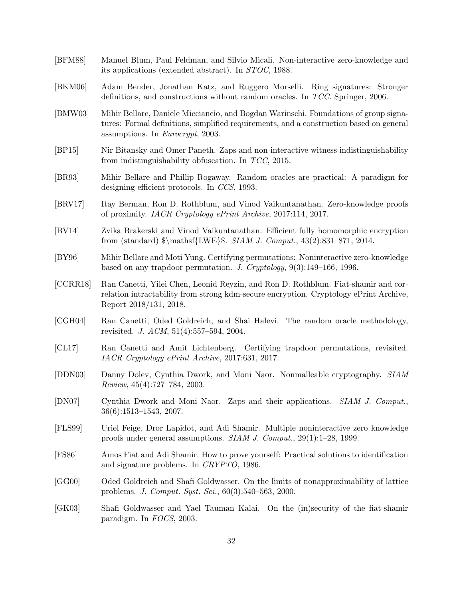- <span id="page-31-1"></span>[BFM88] Manuel Blum, Paul Feldman, and Silvio Micali. Non-interactive zero-knowledge and its applications (extended abstract). In STOC, 1988.
- <span id="page-31-5"></span>[BKM06] Adam Bender, Jonathan Katz, and Ruggero Morselli. Ring signatures: Stronger definitions, and constructions without random oracles. In TCC. Springer, 2006.
- <span id="page-31-4"></span>[BMW03] Mihir Bellare, Daniele Micciancio, and Bogdan Warinschi. Foundations of group signatures: Formal definitions, simplified requirements, and a construction based on general assumptions. In Eurocrypt, 2003.
- <span id="page-31-7"></span>[BP15] Nir Bitansky and Omer Paneth. Zaps and non-interactive witness indistinguishability from indistinguishability obfuscation. In TCC, 2015.
- <span id="page-31-10"></span>[BR93] Mihir Bellare and Phillip Rogaway. Random oracles are practical: A paradigm for designing efficient protocols. In CCS, 1993.
- <span id="page-31-16"></span>[BRV17] Itay Berman, Ron D. Rothblum, and Vinod Vaikuntanathan. Zero-knowledge proofs of proximity. IACR Cryptology ePrint Archive, 2017:114, 2017.
- <span id="page-31-0"></span>[BV14] Zvika Brakerski and Vinod Vaikuntanathan. Efficient fully homomorphic encryption from (standard)  $\mathbf{LWE}\$ . SIAM J. Comput., 43(2):831–871, 2014.
- <span id="page-31-8"></span>[BY96] Mihir Bellare and Moti Yung. Certifying permutations: Noninteractive zero-knowledge based on any trapdoor permutation. J. Cryptology, 9(3):149–166, 1996.
- <span id="page-31-13"></span>[CCRR18] Ran Canetti, Yilei Chen, Leonid Reyzin, and Ron D. Rothblum. Fiat-shamir and correlation intractability from strong kdm-secure encryption. Cryptology ePrint Archive, Report 2018/131, 2018.
- <span id="page-31-11"></span>[CGH04] Ran Canetti, Oded Goldreich, and Shai Halevi. The random oracle methodology, revisited. J. ACM, 51(4):557–594, 2004.
- <span id="page-31-15"></span>[CL17] Ran Canetti and Amit Lichtenberg. Certifying trapdoor permutations, revisited. IACR Cryptology ePrint Archive, 2017:631, 2017.
- <span id="page-31-2"></span>[DDN03] Danny Dolev, Cynthia Dwork, and Moni Naor. Nonmalleable cryptography. SIAM Review, 45(4):727–784, 2003.
- <span id="page-31-3"></span>[DN07] Cynthia Dwork and Moni Naor. Zaps and their applications. SIAM J. Comput., 36(6):1513–1543, 2007.
- <span id="page-31-6"></span>[FLS99] Uriel Feige, Dror Lapidot, and Adi Shamir. Multiple noninteractive zero knowledge proofs under general assumptions. SIAM J. Comput., 29(1):1–28, 1999.
- <span id="page-31-9"></span>[FS86] Amos Fiat and Adi Shamir. How to prove yourself: Practical solutions to identification and signature problems. In CRYPTO, 1986.
- <span id="page-31-14"></span>[GG00] Oded Goldreich and Shafi Goldwasser. On the limits of nonapproximability of lattice problems. J. Comput. Syst. Sci., 60(3):540–563, 2000.
- <span id="page-31-12"></span>[GK03] Shafi Goldwasser and Yael Tauman Kalai. On the (in)security of the fiat-shamir paradigm. In FOCS, 2003.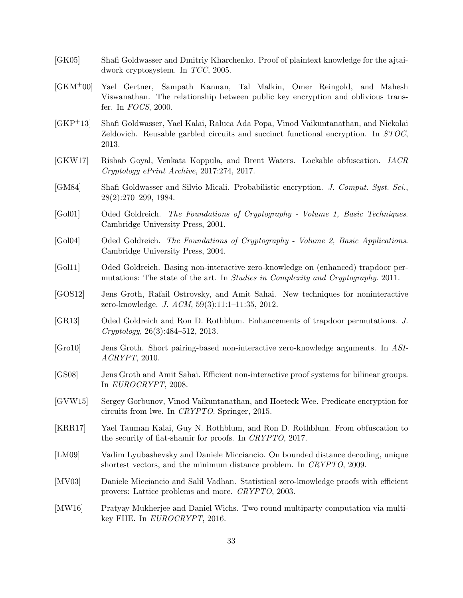- <span id="page-32-11"></span>[GK05] Shafi Goldwasser and Dmitriy Kharchenko. Proof of plaintext knowledge for the ajtaidwork cryptosystem. In TCC, 2005.
- <span id="page-32-13"></span>[GKM+00] Yael Gertner, Sampath Kannan, Tal Malkin, Omer Reingold, and Mahesh Viswanathan. The relationship between public key encryption and oblivious transfer. In FOCS, 2000.
- <span id="page-32-0"></span>[GKP+13] Shafi Goldwasser, Yael Kalai, Raluca Ada Popa, Vinod Vaikuntanathan, and Nickolai Zeldovich. Reusable garbled circuits and succinct functional encryption. In STOC, 2013.
- <span id="page-32-2"></span>[GKW17] Rishab Goyal, Venkata Koppula, and Brent Waters. Lockable obfuscation. IACR Cryptology ePrint Archive, 2017:274, 2017.
- <span id="page-32-15"></span>[GM84] Shafi Goldwasser and Silvio Micali. Probabilistic encryption. J. Comput. Syst. Sci., 28(2):270–299, 1984.
- <span id="page-32-12"></span>[Gol01] Oded Goldreich. The Foundations of Cryptography - Volume 1, Basic Techniques. Cambridge University Press, 2001.
- <span id="page-32-16"></span>[Gol04] Oded Goldreich. The Foundations of Cryptography - Volume 2, Basic Applications. Cambridge University Press, 2004.
- <span id="page-32-6"></span>[Gol11] Oded Goldreich. Basing non-interactive zero-knowledge on (enhanced) trapdoor permutations: The state of the art. In Studies in Complexity and Cryptography. 2011.
- <span id="page-32-4"></span>[GOS12] Jens Groth, Rafail Ostrovsky, and Amit Sahai. New techniques for noninteractive zero-knowledge. J. ACM, 59(3):11:1–11:35, 2012.
- <span id="page-32-14"></span>[GR13] Oded Goldreich and Ron D. Rothblum. Enhancements of trapdoor permutations. J. Cryptology, 26(3):484–512, 2013.
- <span id="page-32-8"></span>[Gro10] Jens Groth. Short pairing-based non-interactive zero-knowledge arguments. In ASI-ACRYPT, 2010.
- <span id="page-32-7"></span>[GS08] Jens Groth and Amit Sahai. Efficient non-interactive proof systems for bilinear groups. In EUROCRYPT, 2008.
- <span id="page-32-1"></span>[GVW15] Sergey Gorbunov, Vinod Vaikuntanathan, and Hoeteck Wee. Predicate encryption for circuits from lwe. In CRYPTO. Springer, 2015.
- <span id="page-32-9"></span>[KRR17] Yael Tauman Kalai, Guy N. Rothblum, and Ron D. Rothblum. From obfuscation to the security of fiat-shamir for proofs. In CRYPTO, 2017.
- <span id="page-32-5"></span>[LM09] Vadim Lyubashevsky and Daniele Micciancio. On bounded distance decoding, unique shortest vectors, and the minimum distance problem. In CRYPTO, 2009.
- <span id="page-32-10"></span>[MV03] Daniele Micciancio and Salil Vadhan. Statistical zero-knowledge proofs with efficient provers: Lattice problems and more. CRYPTO, 2003.
- <span id="page-32-3"></span>[MW16] Pratyay Mukherjee and Daniel Wichs. Two round multiparty computation via multikey FHE. In EUROCRYPT, 2016.